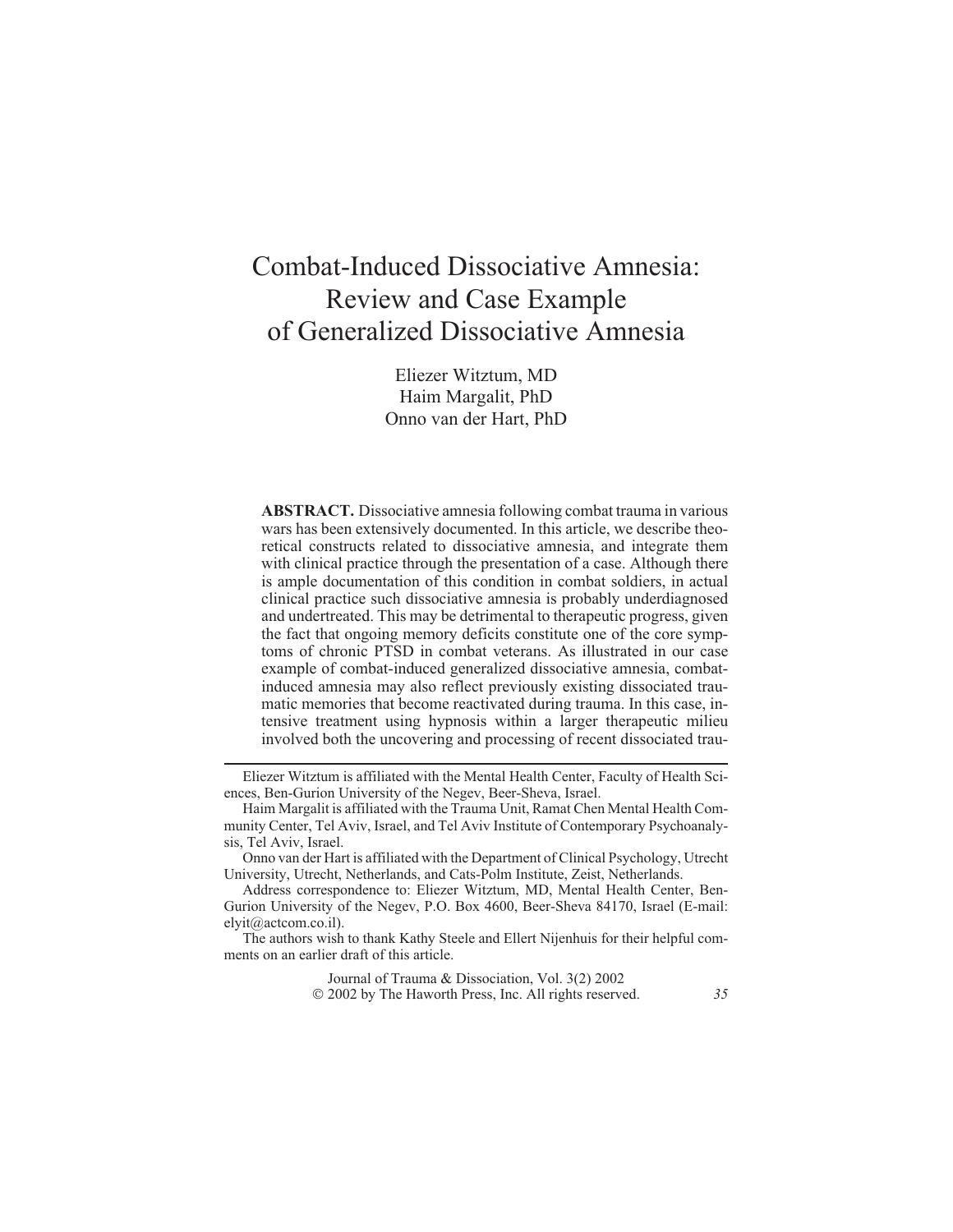# Combat-Induced Dissociative Amnesia: Review and Case Example of Generalized Dissociative Amnesia

Eliezer Witztum, MD Haim Margalit, PhD Onno van der Hart, PhD

**ABSTRACT.** Dissociative amnesia following combat trauma in various wars has been extensively documented. In this article, we describe theoretical constructs related to dissociative amnesia, and integrate them with clinical practice through the presentation of a case. Although there is ample documentation of this condition in combat soldiers, in actual clinical practice such dissociative amnesia is probably underdiagnosed and undertreated. This may be detrimental to therapeutic progress, given the fact that ongoing memory deficits constitute one of the core symptoms of chronic PTSD in combat veterans. As illustrated in our case example of combat-induced generalized dissociative amnesia, combatinduced amnesia may also reflect previously existing dissociated traumatic memories that become reactivated during trauma. In this case, intensive treatment using hypnosis within a larger therapeutic milieu involved both the uncovering and processing of recent dissociated trau-

Eliezer Witztum is affiliated with the Mental Health Center, Faculty of Health Sciences, Ben-Gurion University of the Negev, Beer-Sheva, Israel.

Haim Margalit is affiliated with the Trauma Unit, Ramat Chen Mental Health Community Center, Tel Aviv, Israel, and Tel Aviv Institute of Contemporary Psychoanalysis, Tel Aviv, Israel.

Onno van der Hart is affiliated with the Department of Clinical Psychology, Utrecht University, Utrecht, Netherlands, and Cats-Polm Institute, Zeist, Netherlands.

Address correspondence to: Eliezer Witztum, MD, Mental Health Center, Ben-Gurion University of the Negev, P.O. Box 4600, Beer-Sheva 84170, Israel (E-mail: elyit@actcom.co.il).

The authors wish to thank Kathy Steele and Ellert Nijenhuis for their helpful comments on an earlier draft of this article.

> Journal of Trauma & Dissociation, Vol. 3(2) 2002 2002 by The Haworth Press, Inc. All rights reserved. *35*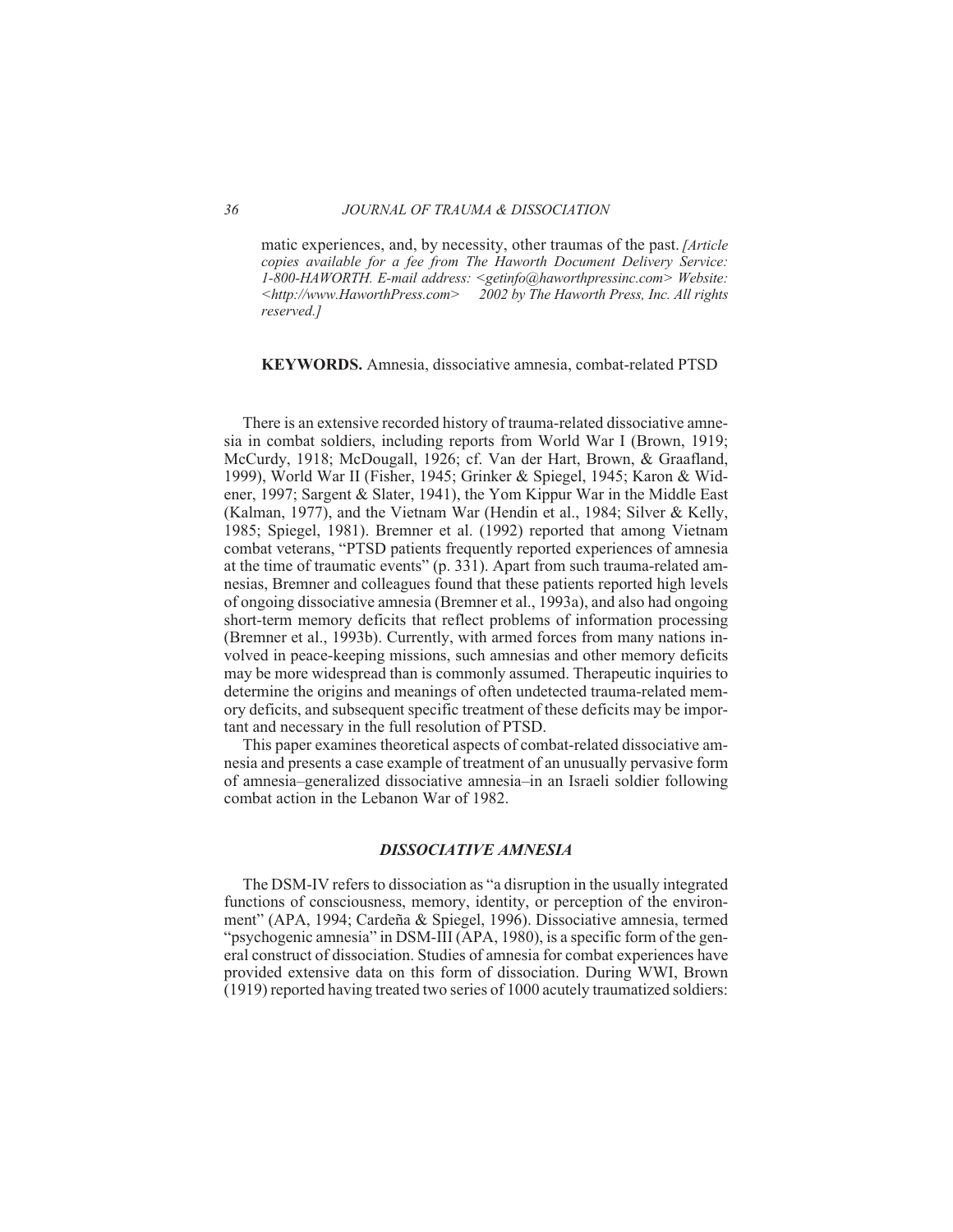matic experiences, and, by necessity, other traumas of the past.*[Article copies available for a fee from The Haworth Document Delivery Service: 1-800-HAWORTH. E-mail address: <getinfo@haworthpressinc.com> Website: [<http://www.HaworthPress.com>](http://www.HaworthPress.com) 2002 by The Haworth Press, Inc. All rights reserved.]*

**KEYWORDS.** Amnesia, dissociative amnesia, combat-related PTSD

There is an extensive recorded history of trauma-related dissociative amnesia in combat soldiers, including reports from World War I (Brown, 1919; McCurdy, 1918; McDougall, 1926; cf. Van der Hart, Brown, & Graafland, 1999), World War II (Fisher, 1945; Grinker & Spiegel, 1945; Karon & Widener, 1997; Sargent & Slater, 1941), the Yom Kippur War in the Middle East (Kalman, 1977), and the Vietnam War (Hendin et al., 1984; Silver & Kelly, 1985; Spiegel, 1981). Bremner et al. (1992) reported that among Vietnam combat veterans, "PTSD patients frequently reported experiences of amnesia at the time of traumatic events" (p. 331). Apart from such trauma-related amnesias, Bremner and colleagues found that these patients reported high levels of ongoing dissociative amnesia (Bremner et al., 1993a), and also had ongoing short-term memory deficits that reflect problems of information processing (Bremner et al., 1993b). Currently, with armed forces from many nations involved in peace-keeping missions, such amnesias and other memory deficits may be more widespread than is commonly assumed. Therapeutic inquiries to determine the origins and meanings of often undetected trauma-related memory deficits, and subsequent specific treatment of these deficits may be important and necessary in the full resolution of PTSD.

This paper examines theoretical aspects of combat-related dissociative amnesia and presents a case example of treatment of an unusually pervasive form of amnesia–generalized dissociative amnesia–in an Israeli soldier following combat action in the Lebanon War of 1982.

## *DISSOCIATIVE AMNESIA*

The DSM-IV refers to dissociation as "a disruption in the usually integrated functions of consciousness, memory, identity, or perception of the environment" (APA, 1994; Cardeña & Spiegel, 1996). Dissociative amnesia, termed "psychogenic amnesia" in DSM-III (APA, 1980), is a specific form of the general construct of dissociation. Studies of amnesia for combat experiences have provided extensive data on this form of dissociation. During WWI, Brown (1919) reported having treated two series of 1000 acutely traumatized soldiers: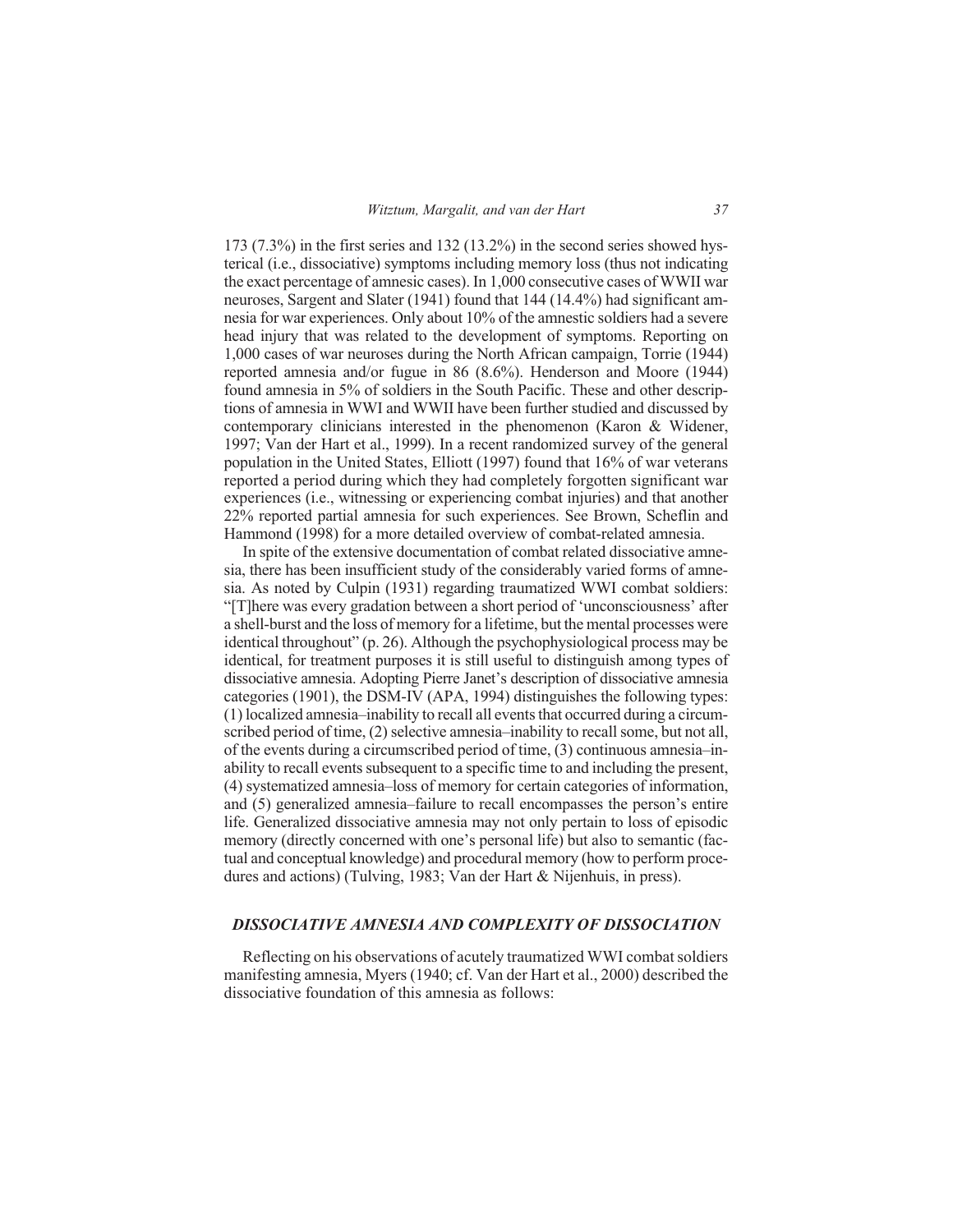173 (7.3%) in the first series and 132 (13.2%) in the second series showed hysterical (i.e., dissociative) symptoms including memory loss (thus not indicating the exact percentage of amnesic cases). In 1,000 consecutive cases of WWII war neuroses, Sargent and Slater (1941) found that 144 (14.4%) had significant amnesia for war experiences. Only about 10% of the amnestic soldiers had a severe head injury that was related to the development of symptoms. Reporting on 1,000 cases of war neuroses during the North African campaign, Torrie (1944) reported amnesia and/or fugue in 86 (8.6%). Henderson and Moore (1944) found amnesia in 5% of soldiers in the South Pacific. These and other descriptions of amnesia in WWI and WWII have been further studied and discussed by contemporary clinicians interested in the phenomenon (Karon & Widener, 1997; Van der Hart et al., 1999). In a recent randomized survey of the general population in the United States, Elliott (1997) found that 16% of war veterans reported a period during which they had completely forgotten significant war experiences (i.e., witnessing or experiencing combat injuries) and that another 22% reported partial amnesia for such experiences. See Brown, Scheflin and Hammond (1998) for a more detailed overview of combat-related amnesia.

In spite of the extensive documentation of combat related dissociative amnesia, there has been insufficient study of the considerably varied forms of amnesia. As noted by Culpin (1931) regarding traumatized WWI combat soldiers: "[T]here was every gradation between a short period of 'unconsciousness' after a shell-burst and the loss of memory for a lifetime, but the mental processes were identical throughout" (p. 26). Although the psychophysiological process may be identical, for treatment purposes it is still useful to distinguish among types of dissociative amnesia. Adopting Pierre Janet's description of dissociative amnesia categories (1901), the DSM-IV (APA, 1994) distinguishes the following types: (1) localized amnesia–inability to recall all events that occurred during a circumscribed period of time, (2) selective amnesia–inability to recall some, but not all, of the events during a circumscribed period of time, (3) continuous amnesia–inability to recall events subsequent to a specific time to and including the present, (4) systematized amnesia–loss of memory for certain categories of information, and (5) generalized amnesia–failure to recall encompasses the person's entire life. Generalized dissociative amnesia may not only pertain to loss of episodic memory (directly concerned with one's personal life) but also to semantic (factual and conceptual knowledge) and procedural memory (how to perform procedures and actions) (Tulving, 1983; Van der Hart & Nijenhuis, in press).

# *DISSOCIATIVE AMNESIA AND COMPLEXITY OF DISSOCIATION*

Reflecting on his observations of acutely traumatized WWI combat soldiers manifesting amnesia, Myers (1940; cf. Van der Hart et al., 2000) described the dissociative foundation of this amnesia as follows: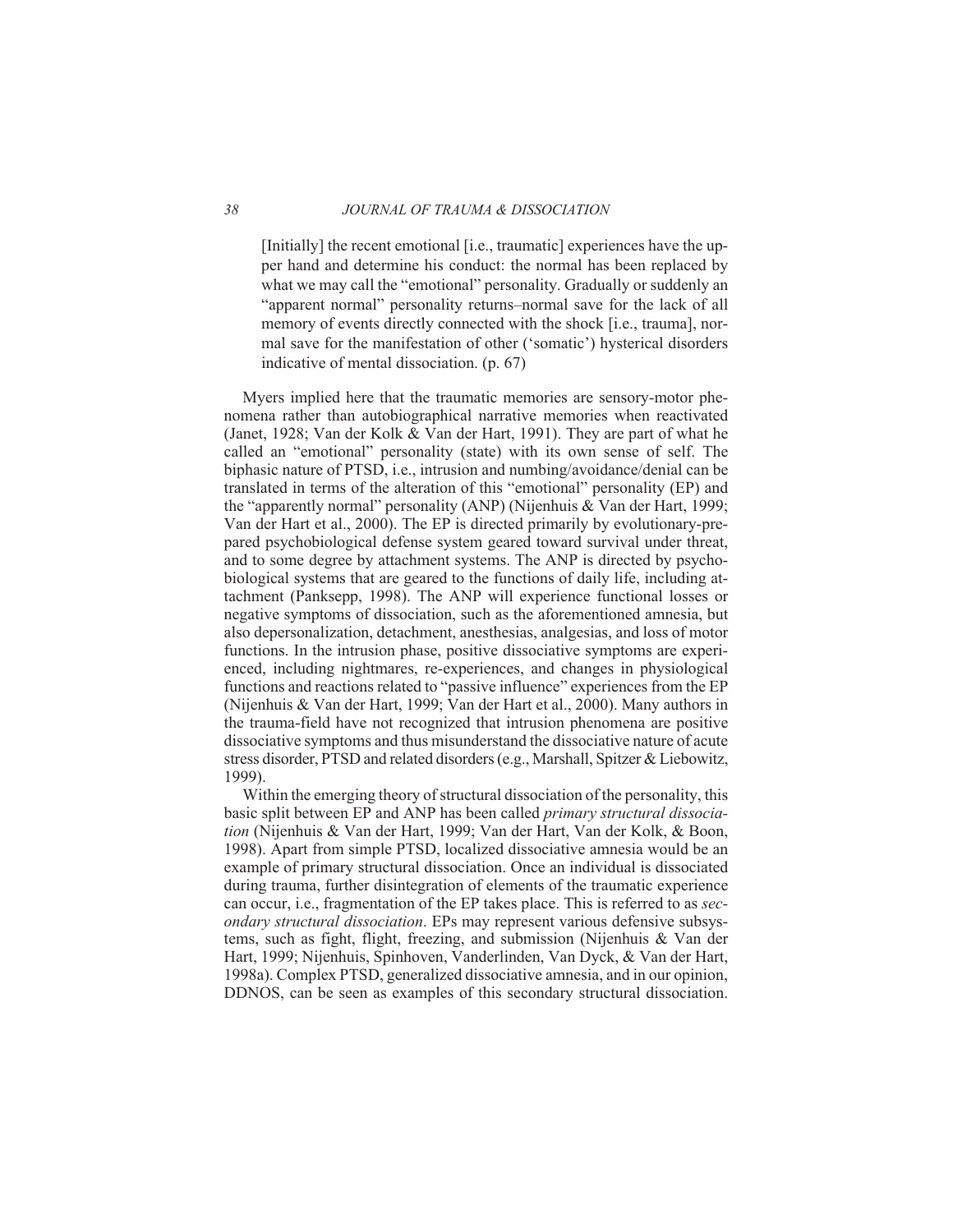[Initially] the recent emotional [i.e., traumatic] experiences have the upper hand and determine his conduct: the normal has been replaced by what we may call the "emotional" personality. Gradually or suddenly an "apparent normal" personality returns–normal save for the lack of all memory of events directly connected with the shock [i.e., trauma], normal save for the manifestation of other ('somatic') hysterical disorders indicative of mental dissociation. (p. 67)

Myers implied here that the traumatic memories are sensory-motor phenomena rather than autobiographical narrative memories when reactivated (Janet, 1928; Van der Kolk & Van der Hart, 1991). They are part of what he called an "emotional" personality (state) with its own sense of self. The biphasic nature of PTSD, i.e., intrusion and numbing/avoidance/denial can be translated in terms of the alteration of this "emotional" personality (EP) and the "apparently normal" personality (ANP) (Nijenhuis & Van der Hart, 1999; Van der Hart et al., 2000). The EP is directed primarily by evolutionary-prepared psychobiological defense system geared toward survival under threat, and to some degree by attachment systems. The ANP is directed by psychobiological systems that are geared to the functions of daily life, including attachment (Panksepp, 1998). The ANP will experience functional losses or negative symptoms of dissociation, such as the aforementioned amnesia, but also depersonalization, detachment, anesthesias, analgesias, and loss of motor functions. In the intrusion phase, positive dissociative symptoms are experienced, including nightmares, re-experiences, and changes in physiological functions and reactions related to "passive influence" experiences from the EP (Nijenhuis & Van der Hart, 1999; Van der Hart et al., 2000). Many authors in the trauma-field have not recognized that intrusion phenomena are positive dissociative symptoms and thus misunderstand the dissociative nature of acute stress disorder, PTSD and related disorders (e.g., Marshall, Spitzer & Liebowitz, 1999).

Within the emerging theory of structural dissociation of the personality, this basic split between EP and ANP has been called *primary structural dissociation* (Nijenhuis & Van der Hart, 1999; Van der Hart, Van der Kolk, & Boon, 1998). Apart from simple PTSD, localized dissociative amnesia would be an example of primary structural dissociation. Once an individual is dissociated during trauma, further disintegration of elements of the traumatic experience can occur, i.e., fragmentation of the EP takes place. This is referred to as *secondary structural dissociation*. EPs may represent various defensive subsystems, such as fight, flight, freezing, and submission (Nijenhuis & Van der Hart, 1999; Nijenhuis, Spinhoven, Vanderlinden, Van Dyck, & Van der Hart, 1998a). Complex PTSD, generalized dissociative amnesia, and in our opinion, DDNOS, can be seen as examples of this secondary structural dissociation.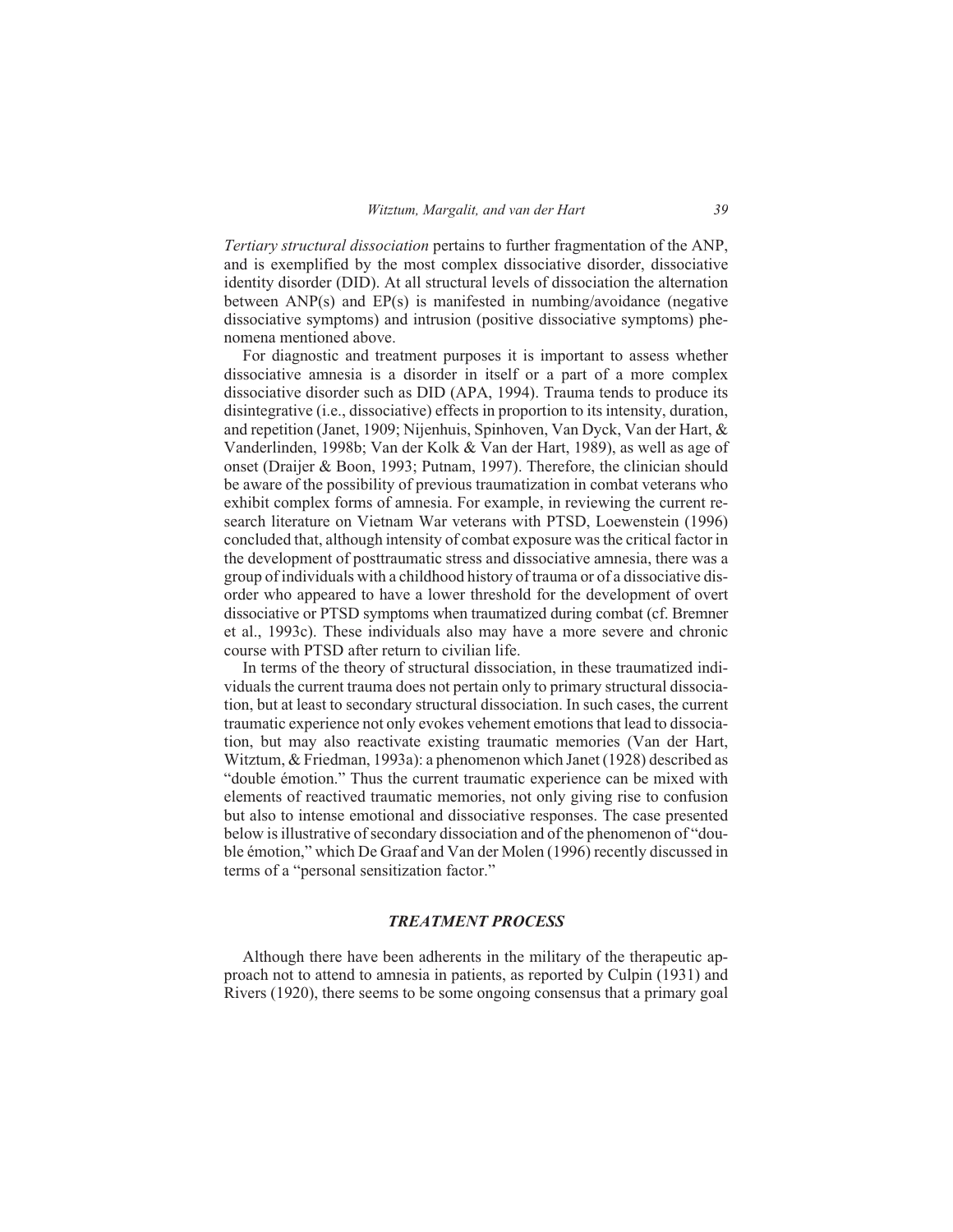*Tertiary structural dissociation* pertains to further fragmentation of the ANP, and is exemplified by the most complex dissociative disorder, dissociative identity disorder (DID). At all structural levels of dissociation the alternation between ANP(s) and EP(s) is manifested in numbing/avoidance (negative dissociative symptoms) and intrusion (positive dissociative symptoms) phenomena mentioned above.

For diagnostic and treatment purposes it is important to assess whether dissociative amnesia is a disorder in itself or a part of a more complex dissociative disorder such as DID (APA, 1994). Trauma tends to produce its disintegrative (i.e., dissociative) effects in proportion to its intensity, duration, and repetition (Janet, 1909; Nijenhuis, Spinhoven, Van Dyck, Van der Hart, & Vanderlinden, 1998b; Van der Kolk & Van der Hart, 1989), as well as age of onset (Draijer & Boon, 1993; Putnam, 1997). Therefore, the clinician should be aware of the possibility of previous traumatization in combat veterans who exhibit complex forms of amnesia. For example, in reviewing the current research literature on Vietnam War veterans with PTSD, Loewenstein (1996) concluded that, although intensity of combat exposure was the critical factor in the development of posttraumatic stress and dissociative amnesia, there was a group of individuals with a childhood history of trauma or of a dissociative disorder who appeared to have a lower threshold for the development of overt dissociative or PTSD symptoms when traumatized during combat (cf. Bremner et al., 1993c). These individuals also may have a more severe and chronic course with PTSD after return to civilian life.

In terms of the theory of structural dissociation, in these traumatized individuals the current trauma does not pertain only to primary structural dissociation, but at least to secondary structural dissociation. In such cases, the current traumatic experience not only evokes vehement emotions that lead to dissociation, but may also reactivate existing traumatic memories (Van der Hart, Witztum, & Friedman, 1993a): a phenomenon which Janet (1928) described as "double émotion." Thus the current traumatic experience can be mixed with elements of reactived traumatic memories, not only giving rise to confusion but also to intense emotional and dissociative responses. The case presented below is illustrative of secondary dissociation and of the phenomenon of "double émotion," which De Graaf and Van der Molen (1996) recently discussed in terms of a "personal sensitization factor."

# *TREATMENT PROCESS*

Although there have been adherents in the military of the therapeutic approach not to attend to amnesia in patients, as reported by Culpin (1931) and Rivers (1920), there seems to be some ongoing consensus that a primary goal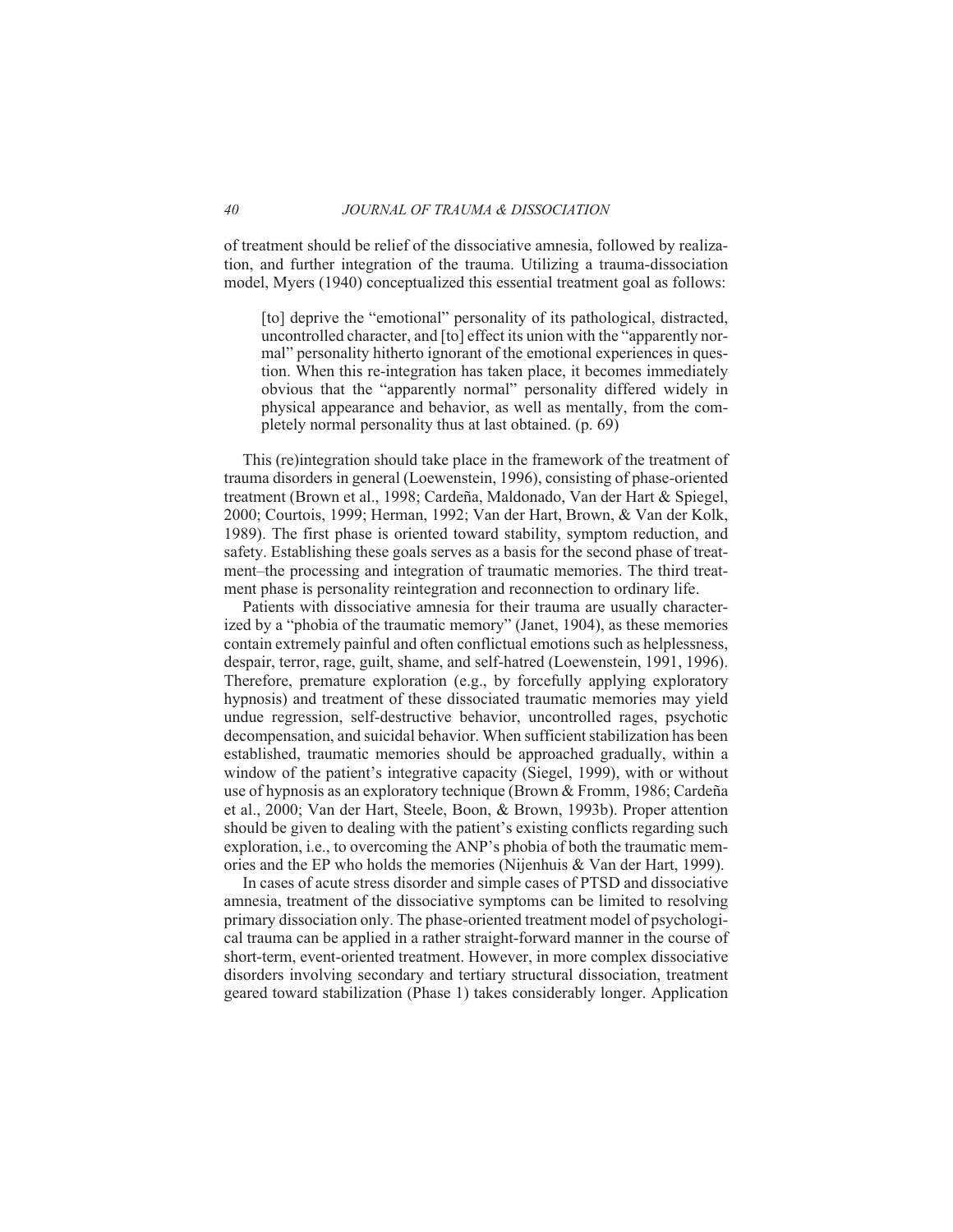of treatment should be relief of the dissociative amnesia, followed by realization, and further integration of the trauma. Utilizing a trauma-dissociation model, Myers (1940) conceptualized this essential treatment goal as follows:

[to] deprive the "emotional" personality of its pathological, distracted, uncontrolled character, and [to] effect its union with the "apparently normal" personality hitherto ignorant of the emotional experiences in question. When this re-integration has taken place, it becomes immediately obvious that the "apparently normal" personality differed widely in physical appearance and behavior, as well as mentally, from the completely normal personality thus at last obtained. (p. 69)

This (re)integration should take place in the framework of the treatment of trauma disorders in general (Loewenstein, 1996), consisting of phase-oriented treatment (Brown et al., 1998; Cardeña, Maldonado, Van der Hart & Spiegel, 2000; Courtois, 1999; Herman, 1992; Van der Hart, Brown, & Van der Kolk, 1989). The first phase is oriented toward stability, symptom reduction, and safety. Establishing these goals serves as a basis for the second phase of treatment–the processing and integration of traumatic memories. The third treatment phase is personality reintegration and reconnection to ordinary life.

Patients with dissociative amnesia for their trauma are usually characterized by a "phobia of the traumatic memory" (Janet, 1904), as these memories contain extremely painful and often conflictual emotions such as helplessness, despair, terror, rage, guilt, shame, and self-hatred (Loewenstein, 1991, 1996). Therefore, premature exploration (e.g., by forcefully applying exploratory hypnosis) and treatment of these dissociated traumatic memories may yield undue regression, self-destructive behavior, uncontrolled rages, psychotic decompensation, and suicidal behavior. When sufficient stabilization has been established, traumatic memories should be approached gradually, within a window of the patient's integrative capacity (Siegel, 1999), with or without use of hypnosis as an exploratory technique (Brown & Fromm, 1986; Cardeña et al., 2000; Van der Hart, Steele, Boon, & Brown, 1993b). Proper attention should be given to dealing with the patient's existing conflicts regarding such exploration, i.e., to overcoming the ANP's phobia of both the traumatic memories and the EP who holds the memories (Nijenhuis & Van der Hart, 1999).

In cases of acute stress disorder and simple cases of PTSD and dissociative amnesia, treatment of the dissociative symptoms can be limited to resolving primary dissociation only. The phase-oriented treatment model of psychological trauma can be applied in a rather straight-forward manner in the course of short-term, event-oriented treatment. However, in more complex dissociative disorders involving secondary and tertiary structural dissociation, treatment geared toward stabilization (Phase 1) takes considerably longer. Application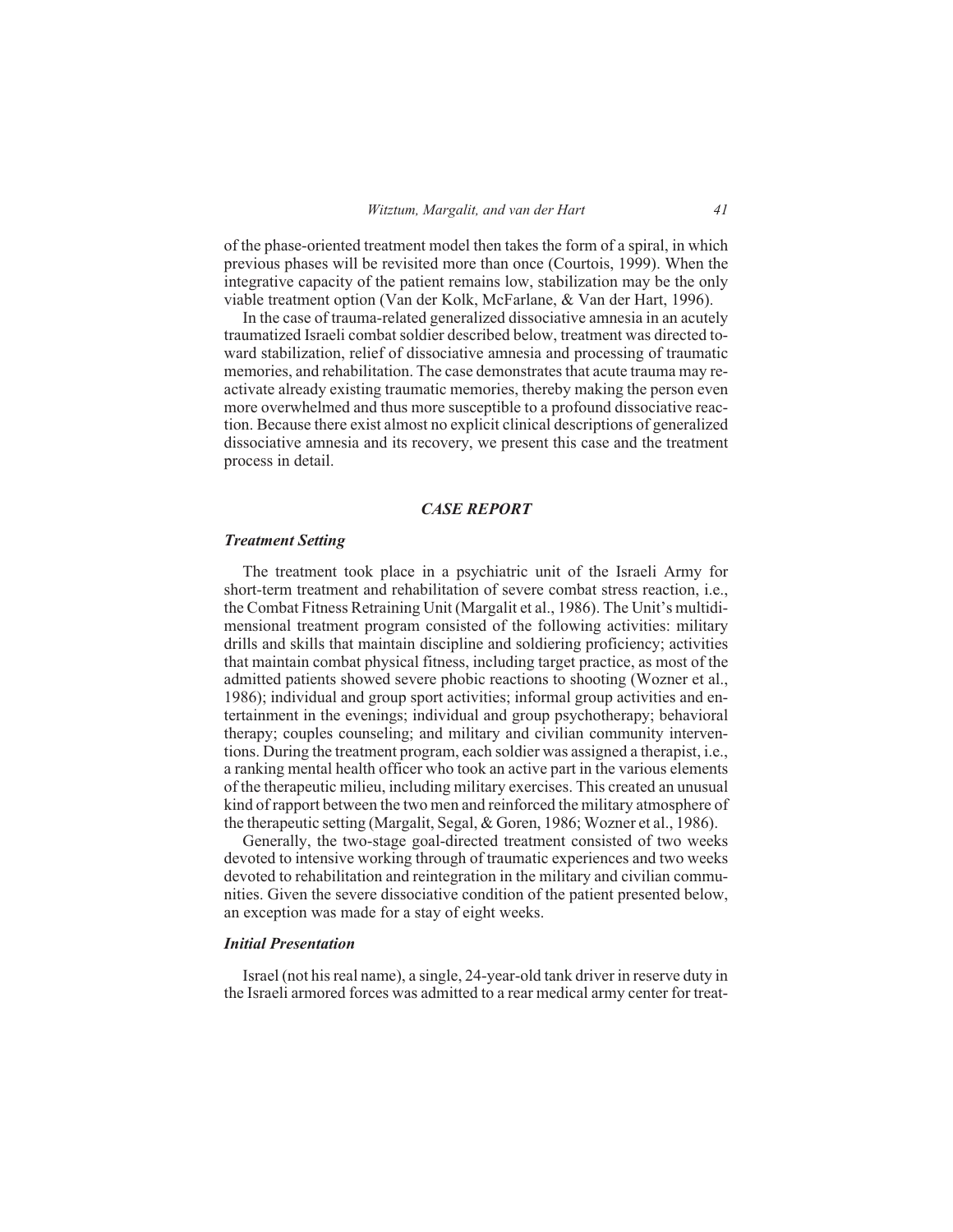of the phase-oriented treatment model then takes the form of a spiral, in which previous phases will be revisited more than once (Courtois, 1999). When the integrative capacity of the patient remains low, stabilization may be the only viable treatment option (Van der Kolk, McFarlane, & Van der Hart, 1996).

In the case of trauma-related generalized dissociative amnesia in an acutely traumatized Israeli combat soldier described below, treatment was directed toward stabilization, relief of dissociative amnesia and processing of traumatic memories, and rehabilitation. The case demonstrates that acute trauma may reactivate already existing traumatic memories, thereby making the person even more overwhelmed and thus more susceptible to a profound dissociative reaction. Because there exist almost no explicit clinical descriptions of generalized dissociative amnesia and its recovery, we present this case and the treatment process in detail.

## *CASE REPORT*

## *Treatment Setting*

The treatment took place in a psychiatric unit of the Israeli Army for short-term treatment and rehabilitation of severe combat stress reaction, i.e., the Combat Fitness Retraining Unit (Margalit et al., 1986). The Unit's multidimensional treatment program consisted of the following activities: military drills and skills that maintain discipline and soldiering proficiency; activities that maintain combat physical fitness, including target practice, as most of the admitted patients showed severe phobic reactions to shooting (Wozner et al., 1986); individual and group sport activities; informal group activities and entertainment in the evenings; individual and group psychotherapy; behavioral therapy; couples counseling; and military and civilian community interventions. During the treatment program, each soldier was assigned a therapist, i.e., a ranking mental health officer who took an active part in the various elements of the therapeutic milieu, including military exercises. This created an unusual kind of rapport between the two men and reinforced the military atmosphere of the therapeutic setting (Margalit, Segal, & Goren, 1986; Wozner et al., 1986).

Generally, the two-stage goal-directed treatment consisted of two weeks devoted to intensive working through of traumatic experiences and two weeks devoted to rehabilitation and reintegration in the military and civilian communities. Given the severe dissociative condition of the patient presented below, an exception was made for a stay of eight weeks.

#### *Initial Presentation*

Israel (not his real name), a single, 24-year-old tank driver in reserve duty in the Israeli armored forces was admitted to a rear medical army center for treat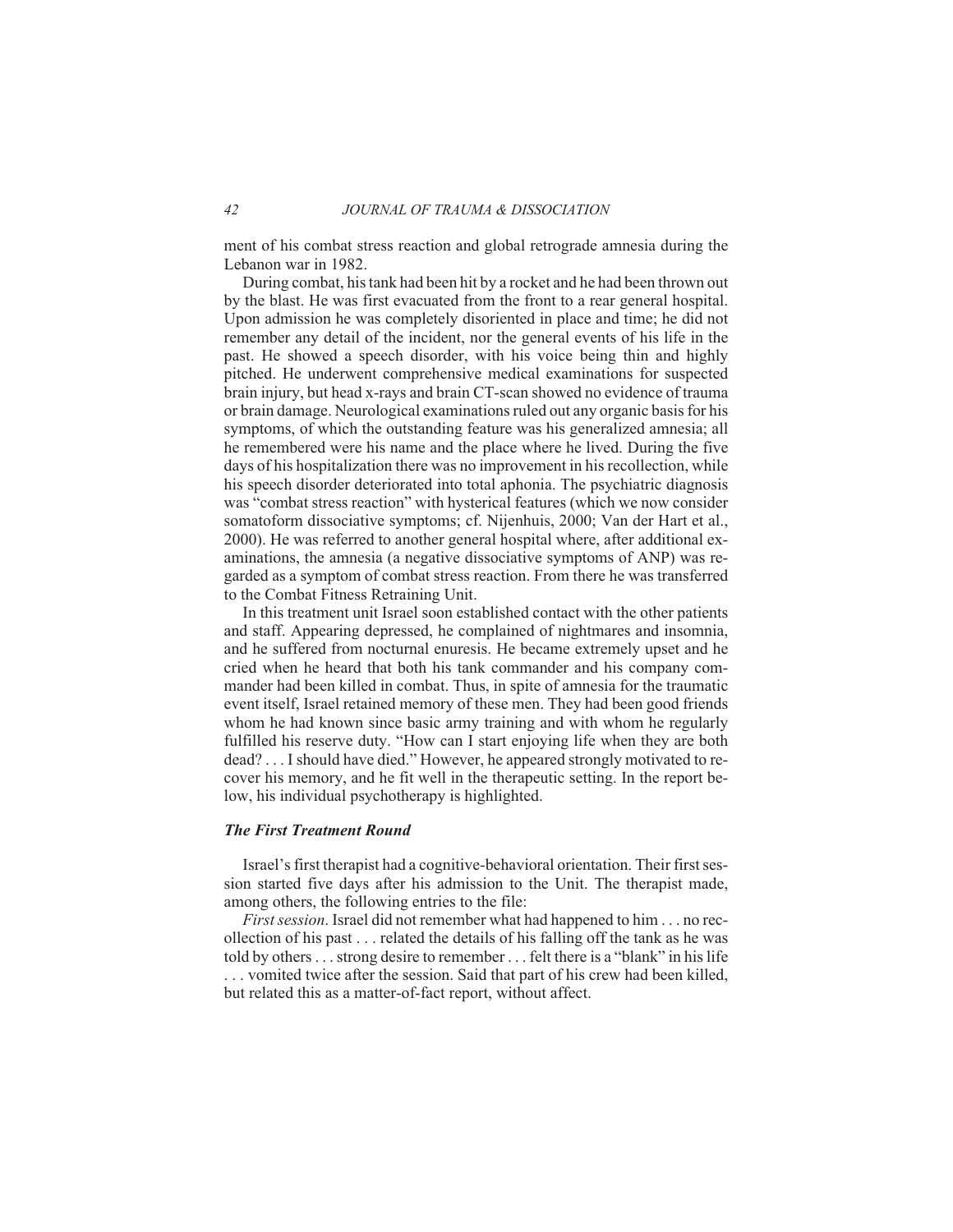ment of his combat stress reaction and global retrograde amnesia during the Lebanon war in 1982.

During combat, his tank had been hit by a rocket and he had been thrown out by the blast. He was first evacuated from the front to a rear general hospital. Upon admission he was completely disoriented in place and time; he did not remember any detail of the incident, nor the general events of his life in the past. He showed a speech disorder, with his voice being thin and highly pitched. He underwent comprehensive medical examinations for suspected brain injury, but head x-rays and brain CT-scan showed no evidence of trauma or brain damage. Neurological examinations ruled out any organic basis for his symptoms, of which the outstanding feature was his generalized amnesia; all he remembered were his name and the place where he lived. During the five days of his hospitalization there was no improvement in his recollection, while his speech disorder deteriorated into total aphonia. The psychiatric diagnosis was "combat stress reaction" with hysterical features (which we now consider somatoform dissociative symptoms; cf. Nijenhuis, 2000; Van der Hart et al., 2000). He was referred to another general hospital where, after additional examinations, the amnesia (a negative dissociative symptoms of ANP) was regarded as a symptom of combat stress reaction. From there he was transferred to the Combat Fitness Retraining Unit.

In this treatment unit Israel soon established contact with the other patients and staff. Appearing depressed, he complained of nightmares and insomnia, and he suffered from nocturnal enuresis. He became extremely upset and he cried when he heard that both his tank commander and his company commander had been killed in combat. Thus, in spite of amnesia for the traumatic event itself, Israel retained memory of these men. They had been good friends whom he had known since basic army training and with whom he regularly fulfilled his reserve duty. "How can I start enjoying life when they are both dead?...I should have died." However, he appeared strongly motivated to recover his memory, and he fit well in the therapeutic setting. In the report below, his individual psychotherapy is highlighted.

# *The First Treatment Round*

Israel's first therapist had a cognitive-behavioral orientation. Their first session started five days after his admission to the Unit. The therapist made, among others, the following entries to the file:

*First session*. Israel did not remember what had happened to him . . . no recollection of his past... related the details of his falling off the tank as he was told by others. . . strong desire to remember . . . felt there is a "blank" in his life . . . vomited twice after the session. Said that part of his crew had been killed, but related this as a matter-of-fact report, without affect.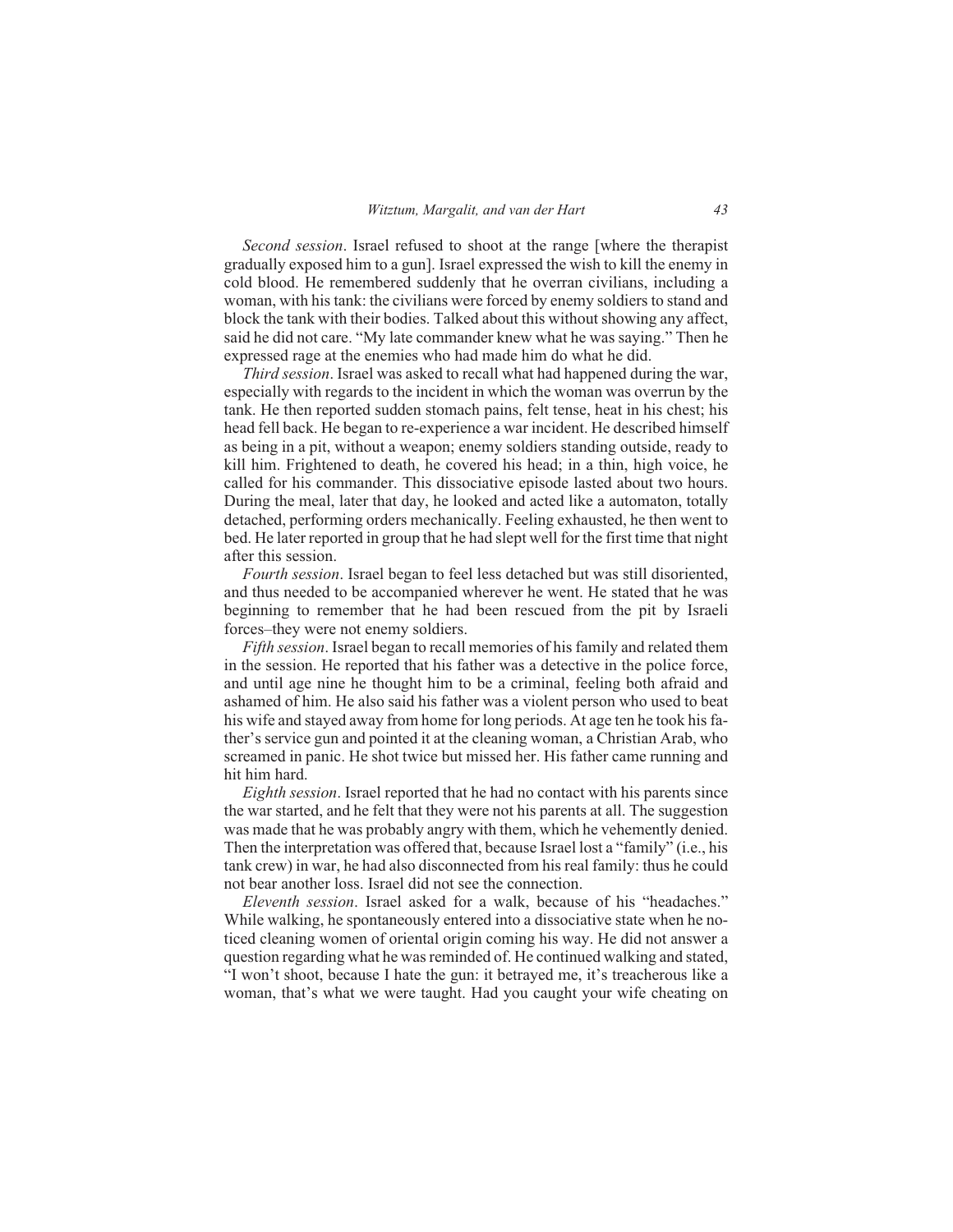*Second session*. Israel refused to shoot at the range [where the therapist gradually exposed him to a gun]. Israel expressed the wish to kill the enemy in cold blood. He remembered suddenly that he overran civilians, including a woman, with his tank: the civilians were forced by enemy soldiers to stand and block the tank with their bodies. Talked about this without showing any affect, said he did not care. "My late commander knew what he was saying." Then he expressed rage at the enemies who had made him do what he did.

*Third session*. Israel was asked to recall what had happened during the war, especially with regards to the incident in which the woman was overrun by the tank. He then reported sudden stomach pains, felt tense, heat in his chest; his head fell back. He began to re-experience a war incident. He described himself as being in a pit, without a weapon; enemy soldiers standing outside, ready to kill him. Frightened to death, he covered his head; in a thin, high voice, he called for his commander. This dissociative episode lasted about two hours. During the meal, later that day, he looked and acted like a automaton, totally detached, performing orders mechanically. Feeling exhausted, he then went to bed. He later reported in group that he had slept well for the first time that night after this session.

*Fourth session*. Israel began to feel less detached but was still disoriented, and thus needed to be accompanied wherever he went. He stated that he was beginning to remember that he had been rescued from the pit by Israeli forces–they were not enemy soldiers.

*Fifth session*. Israel began to recall memories of his family and related them in the session. He reported that his father was a detective in the police force, and until age nine he thought him to be a criminal, feeling both afraid and ashamed of him. He also said his father was a violent person who used to beat his wife and stayed away from home for long periods. At age ten he took his father's service gun and pointed it at the cleaning woman, a Christian Arab, who screamed in panic. He shot twice but missed her. His father came running and hit him hard.

*Eighth session*. Israel reported that he had no contact with his parents since the war started, and he felt that they were not his parents at all. The suggestion was made that he was probably angry with them, which he vehemently denied. Then the interpretation was offered that, because Israel lost a "family" (i.e., his tank crew) in war, he had also disconnected from his real family: thus he could not bear another loss. Israel did not see the connection.

*Eleventh session*. Israel asked for a walk, because of his "headaches." While walking, he spontaneously entered into a dissociative state when he noticed cleaning women of oriental origin coming his way. He did not answer a question regarding what he was reminded of. He continued walking and stated, "I won't shoot, because I hate the gun: it betrayed me, it's treacherous like a woman, that's what we were taught. Had you caught your wife cheating on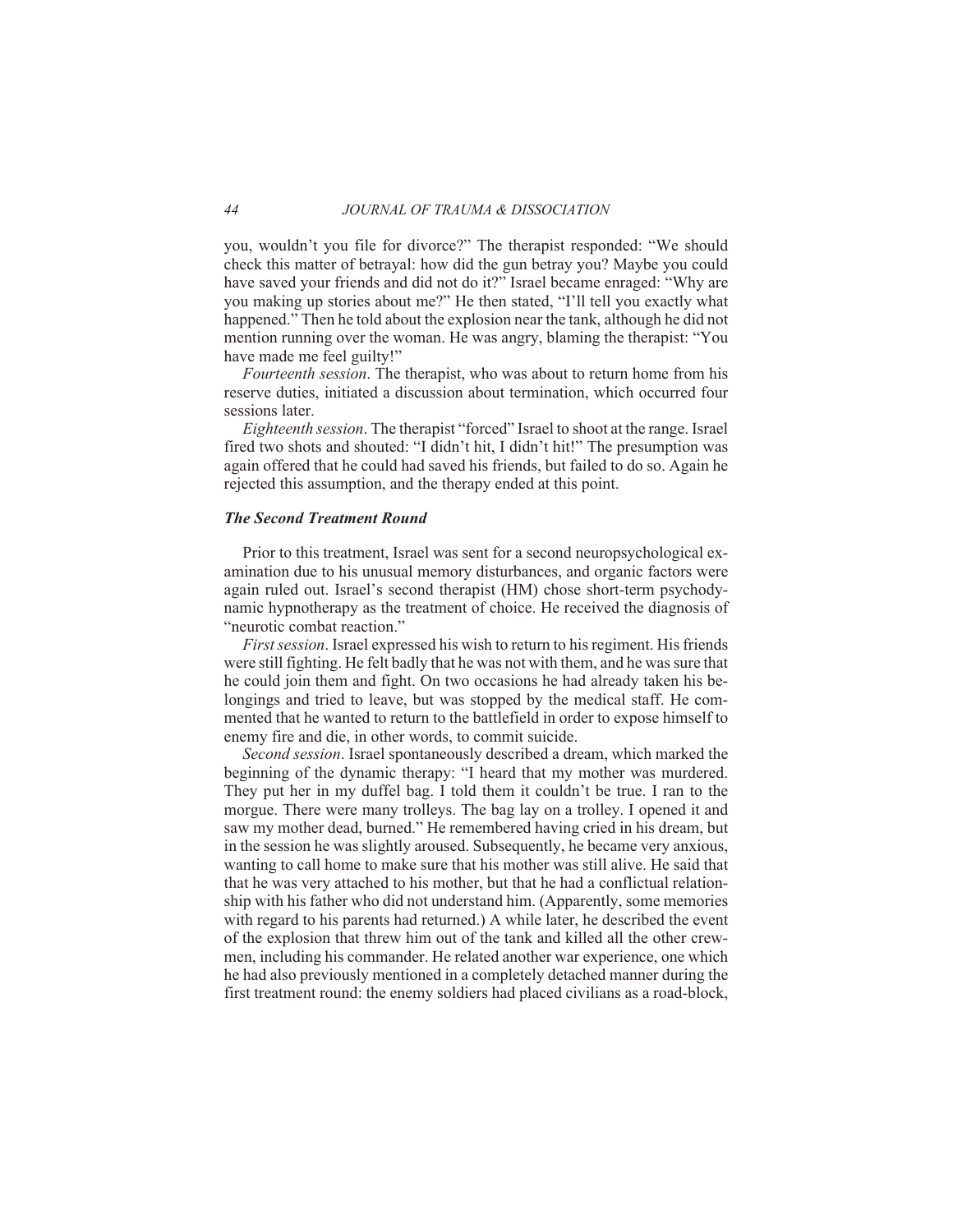you, wouldn't you file for divorce?" The therapist responded: "We should check this matter of betrayal: how did the gun betray you? Maybe you could have saved your friends and did not do it?" Israel became enraged: "Why are you making up stories about me?" He then stated, "I'll tell you exactly what happened." Then he told about the explosion near the tank, although he did not mention running over the woman. He was angry, blaming the therapist: "You have made me feel guilty!"

*Fourteenth session*. The therapist, who was about to return home from his reserve duties, initiated a discussion about termination, which occurred four sessions later.

*Eighteenth session*. The therapist "forced" Israel to shoot at the range. Israel fired two shots and shouted: "I didn't hit, I didn't hit!" The presumption was again offered that he could had saved his friends, but failed to do so. Again he rejected this assumption, and the therapy ended at this point.

#### *The Second Treatment Round*

Prior to this treatment, Israel was sent for a second neuropsychological examination due to his unusual memory disturbances, and organic factors were again ruled out. Israel's second therapist (HM) chose short-term psychodynamic hypnotherapy as the treatment of choice. He received the diagnosis of "neurotic combat reaction."

*First session*. Israel expressed his wish to return to his regiment. His friends were still fighting. He felt badly that he was not with them, and he was sure that he could join them and fight. On two occasions he had already taken his belongings and tried to leave, but was stopped by the medical staff. He commented that he wanted to return to the battlefield in order to expose himself to enemy fire and die, in other words, to commit suicide.

*Second session*. Israel spontaneously described a dream, which marked the beginning of the dynamic therapy: "I heard that my mother was murdered. They put her in my duffel bag. I told them it couldn't be true. I ran to the morgue. There were many trolleys. The bag lay on a trolley. I opened it and saw my mother dead, burned." He remembered having cried in his dream, but in the session he was slightly aroused. Subsequently, he became very anxious, wanting to call home to make sure that his mother was still alive. He said that that he was very attached to his mother, but that he had a conflictual relationship with his father who did not understand him. (Apparently, some memories with regard to his parents had returned.) A while later, he described the event of the explosion that threw him out of the tank and killed all the other crewmen, including his commander. He related another war experience, one which he had also previously mentioned in a completely detached manner during the first treatment round: the enemy soldiers had placed civilians as a road-block,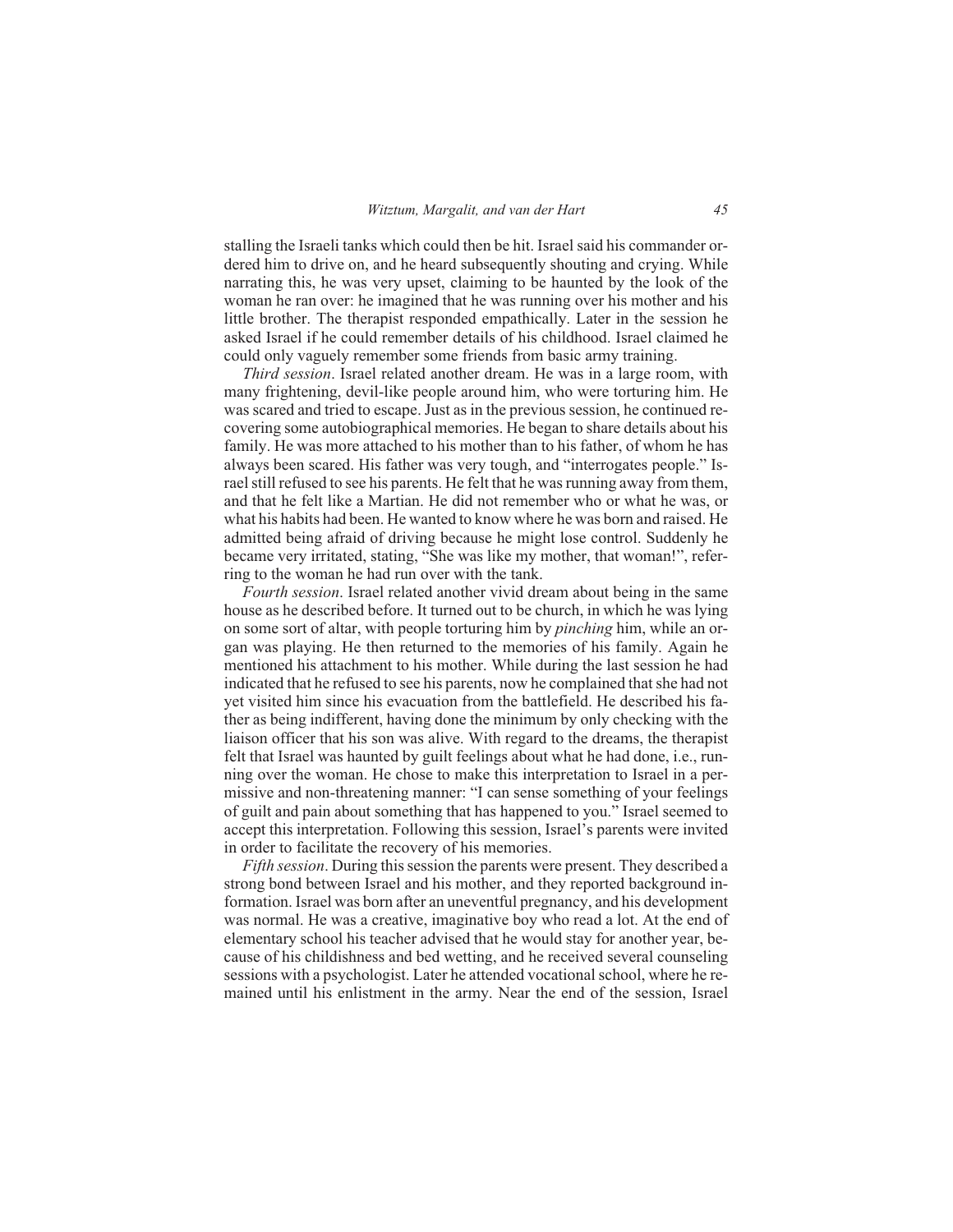stalling the Israeli tanks which could then be hit. Israel said his commander ordered him to drive on, and he heard subsequently shouting and crying. While narrating this, he was very upset, claiming to be haunted by the look of the woman he ran over: he imagined that he was running over his mother and his little brother. The therapist responded empathically. Later in the session he asked Israel if he could remember details of his childhood. Israel claimed he could only vaguely remember some friends from basic army training.

*Third session*. Israel related another dream. He was in a large room, with many frightening, devil-like people around him, who were torturing him. He was scared and tried to escape. Just as in the previous session, he continued recovering some autobiographical memories. He began to share details about his family. He was more attached to his mother than to his father, of whom he has always been scared. His father was very tough, and "interrogates people." Israel still refused to see his parents. He felt that he was running away from them, and that he felt like a Martian. He did not remember who or what he was, or what his habits had been. He wanted to know where he was born and raised. He admitted being afraid of driving because he might lose control. Suddenly he became very irritated, stating, "She was like my mother, that woman!", referring to the woman he had run over with the tank.

*Fourth session*. Israel related another vivid dream about being in the same house as he described before. It turned out to be church, in which he was lying on some sort of altar, with people torturing him by *pinching* him, while an organ was playing. He then returned to the memories of his family. Again he mentioned his attachment to his mother. While during the last session he had indicated that he refused to see his parents, now he complained that she had not yet visited him since his evacuation from the battlefield. He described his father as being indifferent, having done the minimum by only checking with the liaison officer that his son was alive. With regard to the dreams, the therapist felt that Israel was haunted by guilt feelings about what he had done, i.e., running over the woman. He chose to make this interpretation to Israel in a permissive and non-threatening manner: "I can sense something of your feelings of guilt and pain about something that has happened to you." Israel seemed to accept this interpretation. Following this session, Israel's parents were invited in order to facilitate the recovery of his memories.

*Fifth session*. During this session the parents were present. They described a strong bond between Israel and his mother, and they reported background information. Israel was born after an uneventful pregnancy, and his development was normal. He was a creative, imaginative boy who read a lot. At the end of elementary school his teacher advised that he would stay for another year, because of his childishness and bed wetting, and he received several counseling sessions with a psychologist. Later he attended vocational school, where he remained until his enlistment in the army. Near the end of the session, Israel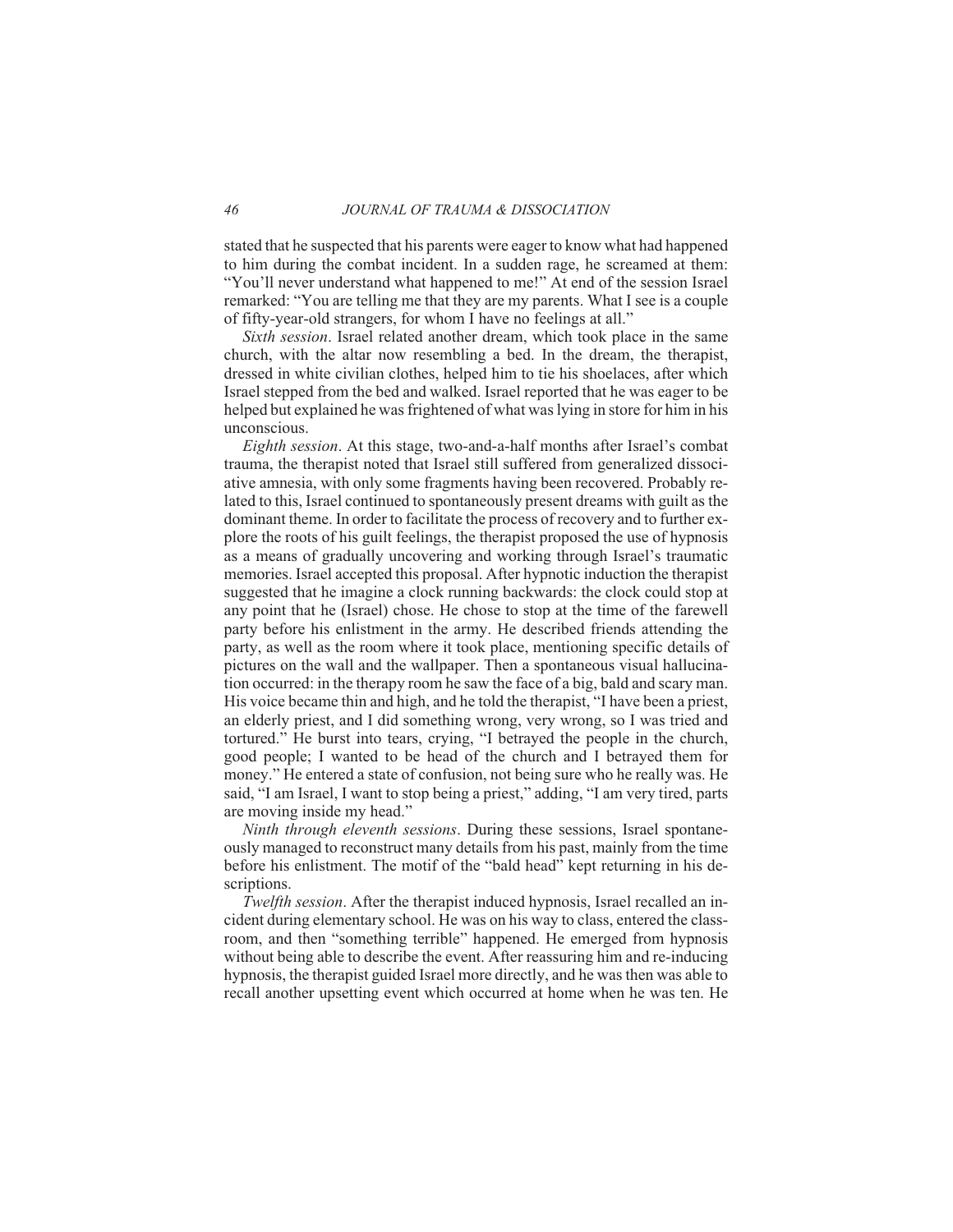stated that he suspected that his parents were eager to know what had happened to him during the combat incident. In a sudden rage, he screamed at them: "You'll never understand what happened to me!" At end of the session Israel remarked: "You are telling me that they are my parents. What I see is a couple of fifty-year-old strangers, for whom I have no feelings at all."

*Sixth session*. Israel related another dream, which took place in the same church, with the altar now resembling a bed. In the dream, the therapist, dressed in white civilian clothes, helped him to tie his shoelaces, after which Israel stepped from the bed and walked. Israel reported that he was eager to be helped but explained he was frightened of what was lying in store for him in his unconscious.

*Eighth session*. At this stage, two-and-a-half months after Israel's combat trauma, the therapist noted that Israel still suffered from generalized dissociative amnesia, with only some fragments having been recovered. Probably related to this, Israel continued to spontaneously present dreams with guilt as the dominant theme. In order to facilitate the process of recovery and to further explore the roots of his guilt feelings, the therapist proposed the use of hypnosis as a means of gradually uncovering and working through Israel's traumatic memories. Israel accepted this proposal. After hypnotic induction the therapist suggested that he imagine a clock running backwards: the clock could stop at any point that he (Israel) chose. He chose to stop at the time of the farewell party before his enlistment in the army. He described friends attending the party, as well as the room where it took place, mentioning specific details of pictures on the wall and the wallpaper. Then a spontaneous visual hallucination occurred: in the therapy room he saw the face of a big, bald and scary man. His voice became thin and high, and he told the therapist, "I have been a priest, an elderly priest, and I did something wrong, very wrong, so I was tried and tortured." He burst into tears, crying, "I betrayed the people in the church, good people; I wanted to be head of the church and I betrayed them for money." He entered a state of confusion, not being sure who he really was. He said, "I am Israel, I want to stop being a priest," adding, "I am very tired, parts are moving inside my head."

*Ninth through eleventh sessions*. During these sessions, Israel spontaneously managed to reconstruct many details from his past, mainly from the time before his enlistment. The motif of the "bald head" kept returning in his descriptions.

*Twelfth session*. After the therapist induced hypnosis, Israel recalled an incident during elementary school. He was on his way to class, entered the classroom, and then "something terrible" happened. He emerged from hypnosis without being able to describe the event. After reassuring him and re-inducing hypnosis, the therapist guided Israel more directly, and he was then was able to recall another upsetting event which occurred at home when he was ten. He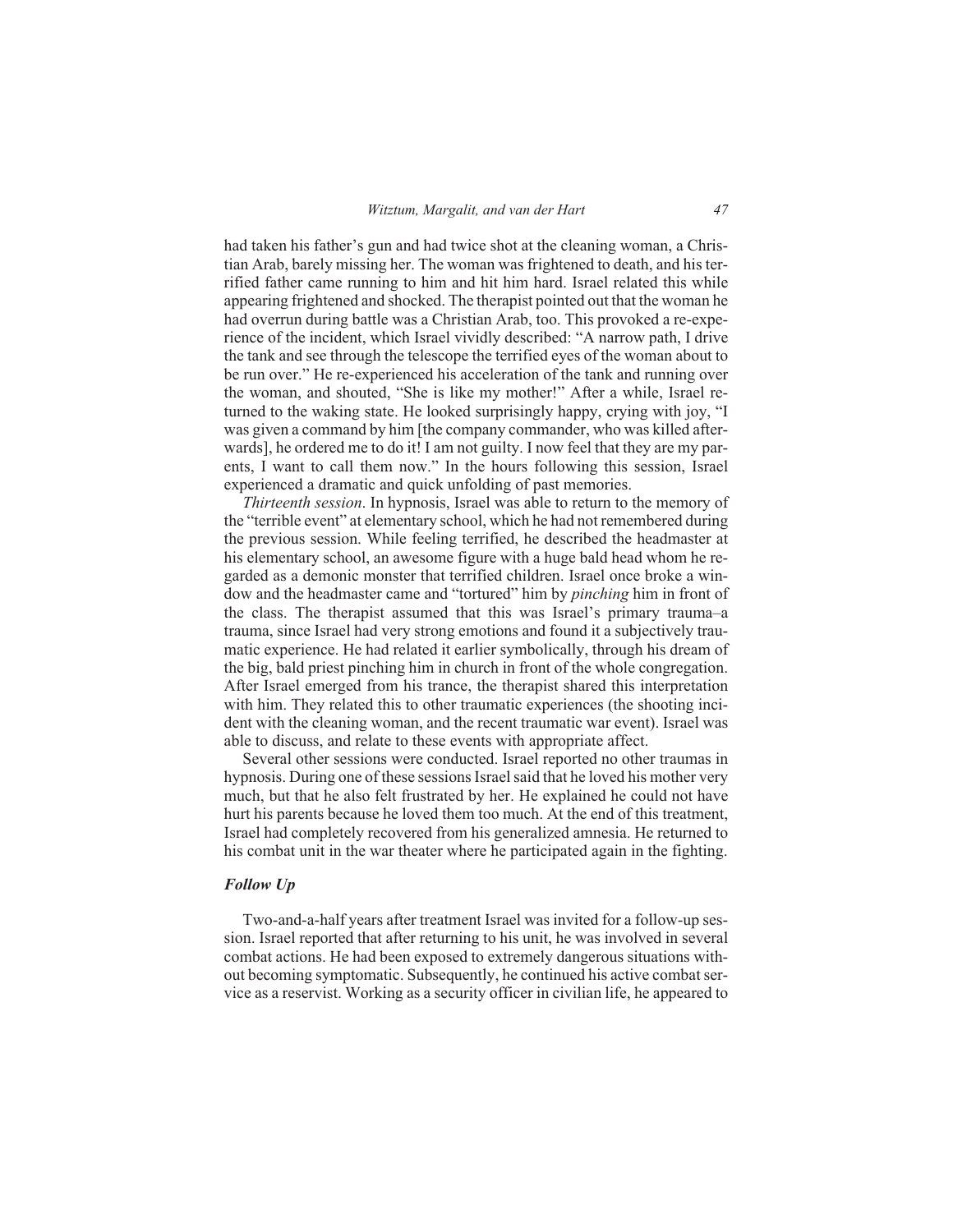had taken his father's gun and had twice shot at the cleaning woman, a Christian Arab, barely missing her. The woman was frightened to death, and his terrified father came running to him and hit him hard. Israel related this while appearing frightened and shocked. The therapist pointed out that the woman he had overrun during battle was a Christian Arab, too. This provoked a re-experience of the incident, which Israel vividly described: "A narrow path, I drive the tank and see through the telescope the terrified eyes of the woman about to be run over." He re-experienced his acceleration of the tank and running over the woman, and shouted, "She is like my mother!" After a while, Israel returned to the waking state. He looked surprisingly happy, crying with joy, "I was given a command by him [the company commander, who was killed afterwards], he ordered me to do it! I am not guilty. I now feel that they are my parents, I want to call them now." In the hours following this session, Israel experienced a dramatic and quick unfolding of past memories.

*Thirteenth session*. In hypnosis, Israel was able to return to the memory of the "terrible event" at elementary school, which he had not remembered during the previous session. While feeling terrified, he described the headmaster at his elementary school, an awesome figure with a huge bald head whom he regarded as a demonic monster that terrified children. Israel once broke a window and the headmaster came and "tortured" him by *pinching* him in front of the class. The therapist assumed that this was Israel's primary trauma–a trauma, since Israel had very strong emotions and found it a subjectively traumatic experience. He had related it earlier symbolically, through his dream of the big, bald priest pinching him in church in front of the whole congregation. After Israel emerged from his trance, the therapist shared this interpretation with him. They related this to other traumatic experiences (the shooting incident with the cleaning woman, and the recent traumatic war event). Israel was able to discuss, and relate to these events with appropriate affect.

Several other sessions were conducted. Israel reported no other traumas in hypnosis. During one of these sessions Israel said that he loved his mother very much, but that he also felt frustrated by her. He explained he could not have hurt his parents because he loved them too much. At the end of this treatment, Israel had completely recovered from his generalized amnesia. He returned to his combat unit in the war theater where he participated again in the fighting.

## *Follow Up*

Two-and-a-half years after treatment Israel was invited for a follow-up session. Israel reported that after returning to his unit, he was involved in several combat actions. He had been exposed to extremely dangerous situations without becoming symptomatic. Subsequently, he continued his active combat service as a reservist. Working as a security officer in civilian life, he appeared to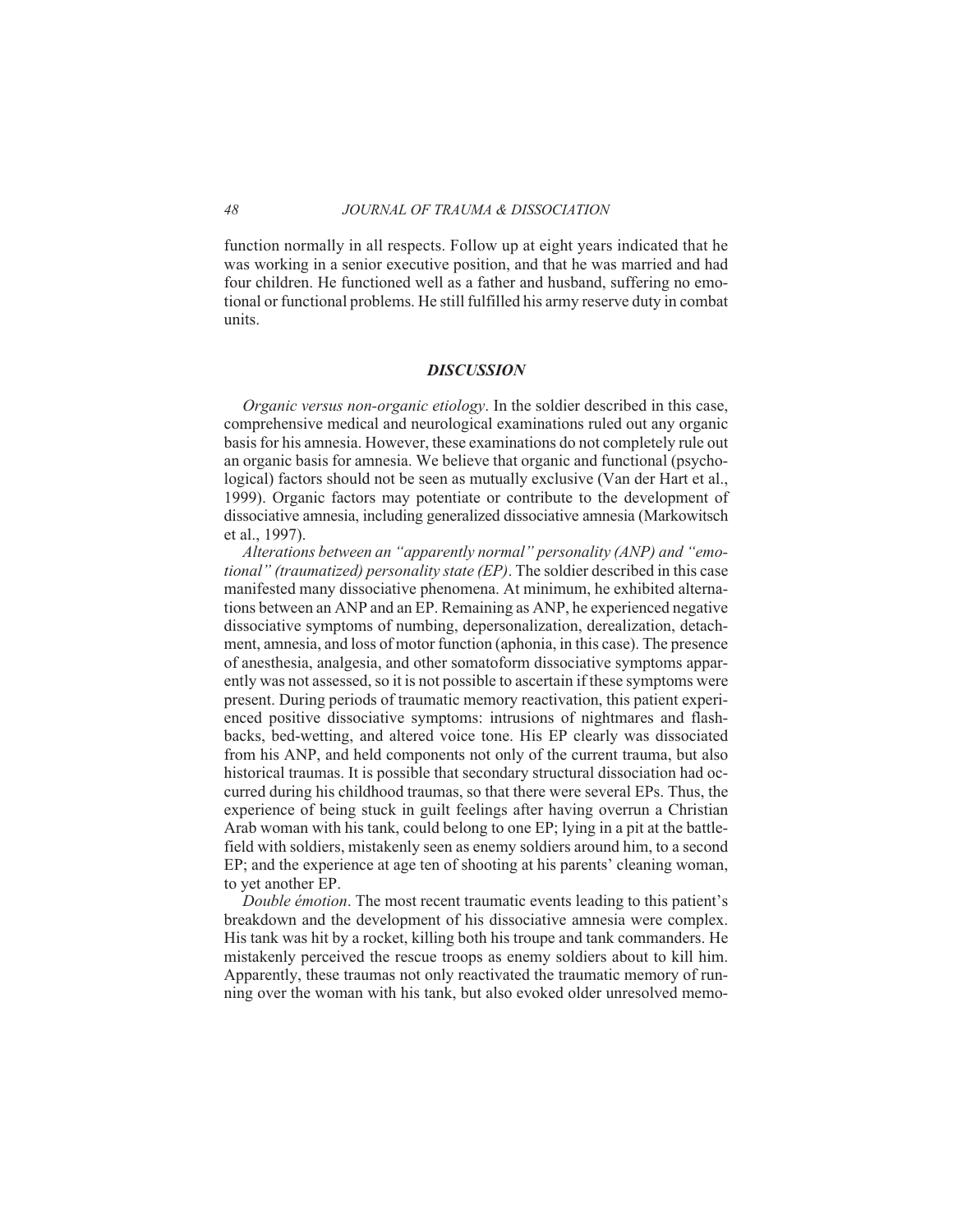function normally in all respects. Follow up at eight years indicated that he was working in a senior executive position, and that he was married and had four children. He functioned well as a father and husband, suffering no emotional or functional problems. He still fulfilled his army reserve duty in combat units.

## *DISCUSSION*

*Organic versus non-organic etiology*. In the soldier described in this case, comprehensive medical and neurological examinations ruled out any organic basis for his amnesia. However, these examinations do not completely rule out an organic basis for amnesia. We believe that organic and functional (psychological) factors should not be seen as mutually exclusive (Van der Hart et al., 1999). Organic factors may potentiate or contribute to the development of dissociative amnesia, including generalized dissociative amnesia (Markowitsch et al., 1997).

*Alterations between an "apparently normal" personality (ANP) and "emotional" (traumatized) personality state (EP)*. The soldier described in this case manifested many dissociative phenomena. At minimum, he exhibited alternations between an ANP and an EP. Remaining as ANP, he experienced negative dissociative symptoms of numbing, depersonalization, derealization, detachment, amnesia, and loss of motor function (aphonia, in this case). The presence of anesthesia, analgesia, and other somatoform dissociative symptoms apparently was not assessed, so it is not possible to ascertain if these symptoms were present. During periods of traumatic memory reactivation, this patient experienced positive dissociative symptoms: intrusions of nightmares and flashbacks, bed-wetting, and altered voice tone. His EP clearly was dissociated from his ANP, and held components not only of the current trauma, but also historical traumas. It is possible that secondary structural dissociation had occurred during his childhood traumas, so that there were several EPs. Thus, the experience of being stuck in guilt feelings after having overrun a Christian Arab woman with his tank, could belong to one EP; lying in a pit at the battlefield with soldiers, mistakenly seen as enemy soldiers around him, to a second EP; and the experience at age ten of shooting at his parents' cleaning woman, to yet another EP.

*Double émotion*. The most recent traumatic events leading to this patient's breakdown and the development of his dissociative amnesia were complex. His tank was hit by a rocket, killing both his troupe and tank commanders. He mistakenly perceived the rescue troops as enemy soldiers about to kill him. Apparently, these traumas not only reactivated the traumatic memory of running over the woman with his tank, but also evoked older unresolved memo-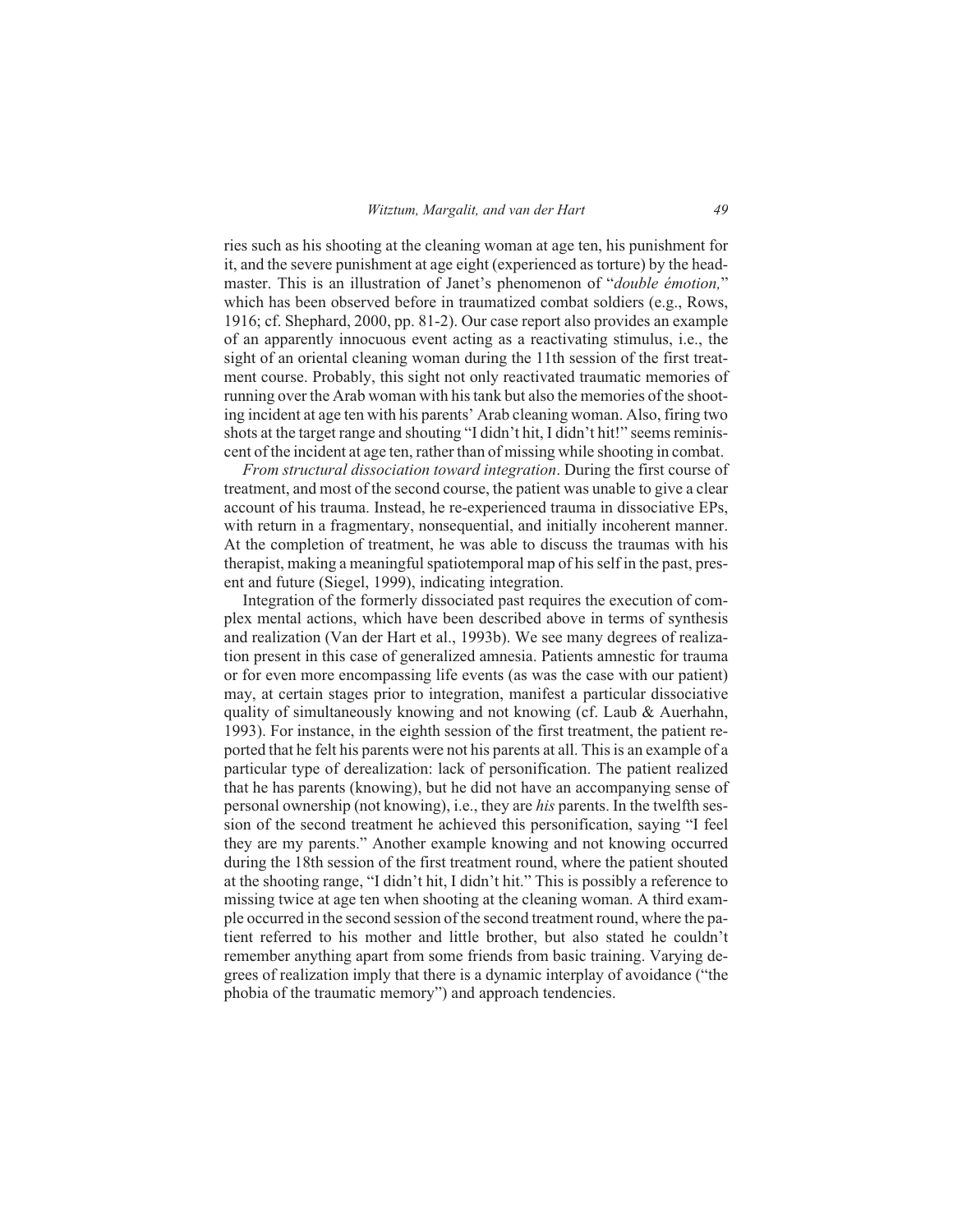ries such as his shooting at the cleaning woman at age ten, his punishment for it, and the severe punishment at age eight (experienced as torture) by the headmaster. This is an illustration of Janet's phenomenon of "*double émotion,*" which has been observed before in traumatized combat soldiers (e.g., Rows, 1916; cf. Shephard, 2000, pp. 81-2). Our case report also provides an example of an apparently innocuous event acting as a reactivating stimulus, i.e., the sight of an oriental cleaning woman during the 11th session of the first treatment course. Probably, this sight not only reactivated traumatic memories of running over the Arab woman with his tank but also the memories of the shooting incident at age ten with his parents' Arab cleaning woman. Also, firing two shots at the target range and shouting "I didn't hit, I didn't hit!" seems reminiscent of the incident at age ten, rather than of missing while shooting in combat.

*From structural dissociation toward integration*. During the first course of treatment, and most of the second course, the patient was unable to give a clear account of his trauma. Instead, he re-experienced trauma in dissociative EPs, with return in a fragmentary, nonsequential, and initially incoherent manner. At the completion of treatment, he was able to discuss the traumas with his therapist, making a meaningful spatiotemporal map of his self in the past, present and future (Siegel, 1999), indicating integration.

Integration of the formerly dissociated past requires the execution of complex mental actions, which have been described above in terms of synthesis and realization (Van der Hart et al., 1993b). We see many degrees of realization present in this case of generalized amnesia. Patients amnestic for trauma or for even more encompassing life events (as was the case with our patient) may, at certain stages prior to integration, manifest a particular dissociative quality of simultaneously knowing and not knowing (cf. Laub & Auerhahn, 1993). For instance, in the eighth session of the first treatment, the patient reported that he felt his parents were not his parents at all. This is an example of a particular type of derealization: lack of personification. The patient realized that he has parents (knowing), but he did not have an accompanying sense of personal ownership (not knowing), i.e., they are *his* parents. In the twelfth session of the second treatment he achieved this personification, saying "I feel they are my parents." Another example knowing and not knowing occurred during the 18th session of the first treatment round, where the patient shouted at the shooting range, "I didn't hit, I didn't hit." This is possibly a reference to missing twice at age ten when shooting at the cleaning woman. A third example occurred in the second session of the second treatment round, where the patient referred to his mother and little brother, but also stated he couldn't remember anything apart from some friends from basic training. Varying degrees of realization imply that there is a dynamic interplay of avoidance ("the phobia of the traumatic memory") and approach tendencies.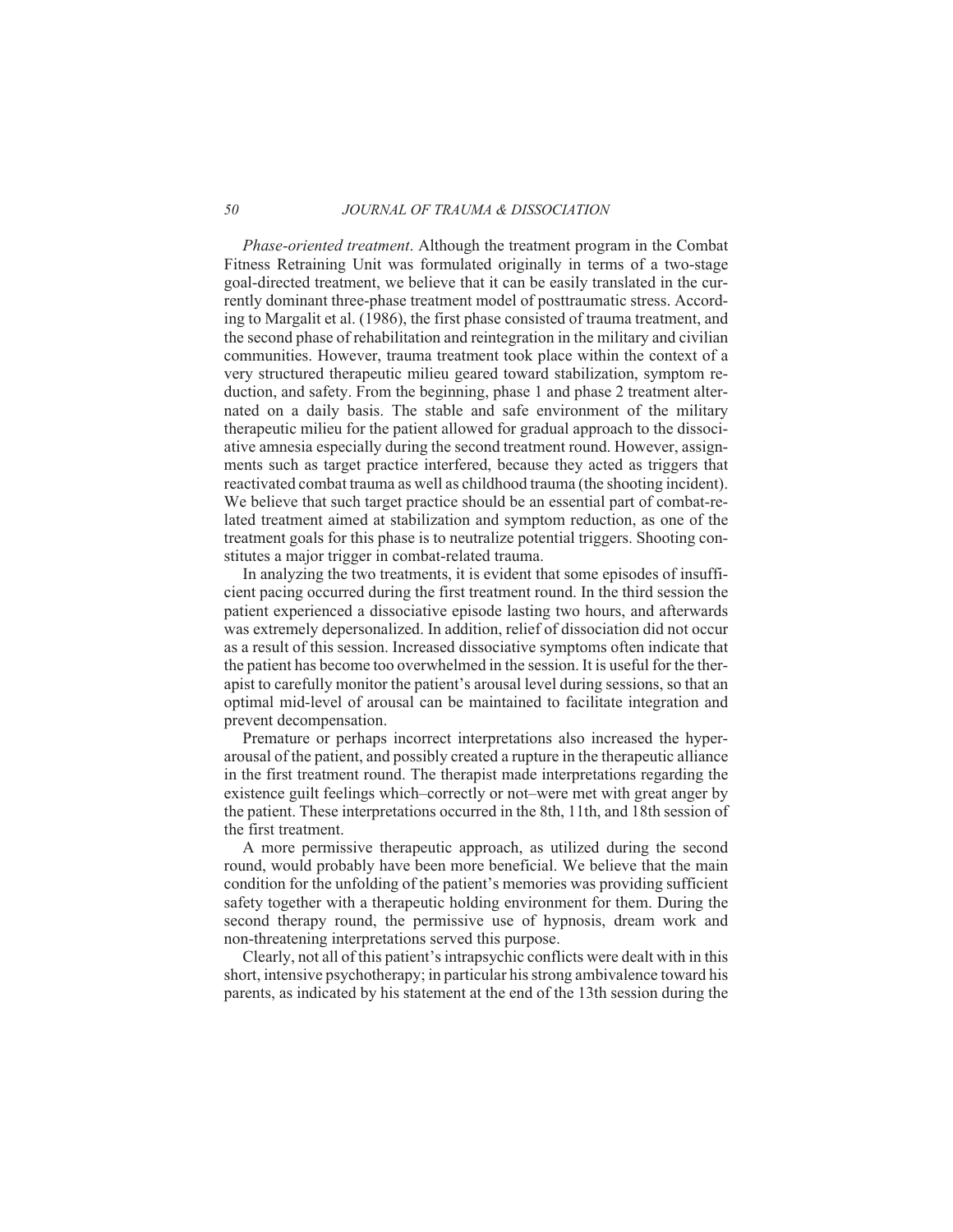#### *50 JOURNAL OF TRAUMA & DISSOCIATION*

*Phase-oriented treatment*. Although the treatment program in the Combat Fitness Retraining Unit was formulated originally in terms of a two-stage goal-directed treatment, we believe that it can be easily translated in the currently dominant three-phase treatment model of posttraumatic stress. According to Margalit et al. (1986), the first phase consisted of trauma treatment, and the second phase of rehabilitation and reintegration in the military and civilian communities. However, trauma treatment took place within the context of a very structured therapeutic milieu geared toward stabilization, symptom reduction, and safety. From the beginning, phase 1 and phase 2 treatment alternated on a daily basis. The stable and safe environment of the military therapeutic milieu for the patient allowed for gradual approach to the dissociative amnesia especially during the second treatment round. However, assignments such as target practice interfered, because they acted as triggers that reactivated combat trauma as well as childhood trauma (the shooting incident). We believe that such target practice should be an essential part of combat-related treatment aimed at stabilization and symptom reduction, as one of the treatment goals for this phase is to neutralize potential triggers. Shooting constitutes a major trigger in combat-related trauma.

In analyzing the two treatments, it is evident that some episodes of insufficient pacing occurred during the first treatment round. In the third session the patient experienced a dissociative episode lasting two hours, and afterwards was extremely depersonalized. In addition, relief of dissociation did not occur as a result of this session. Increased dissociative symptoms often indicate that the patient has become too overwhelmed in the session. It is useful for the therapist to carefully monitor the patient's arousal level during sessions, so that an optimal mid-level of arousal can be maintained to facilitate integration and prevent decompensation.

Premature or perhaps incorrect interpretations also increased the hyperarousal of the patient, and possibly created a rupture in the therapeutic alliance in the first treatment round. The therapist made interpretations regarding the existence guilt feelings which–correctly or not–were met with great anger by the patient. These interpretations occurred in the 8th, 11th, and 18th session of the first treatment.

A more permissive therapeutic approach, as utilized during the second round, would probably have been more beneficial. We believe that the main condition for the unfolding of the patient's memories was providing sufficient safety together with a therapeutic holding environment for them. During the second therapy round, the permissive use of hypnosis, dream work and non-threatening interpretations served this purpose.

Clearly, not all of this patient's intrapsychic conflicts were dealt with in this short, intensive psychotherapy; in particular his strong ambivalence toward his parents, as indicated by his statement at the end of the 13th session during the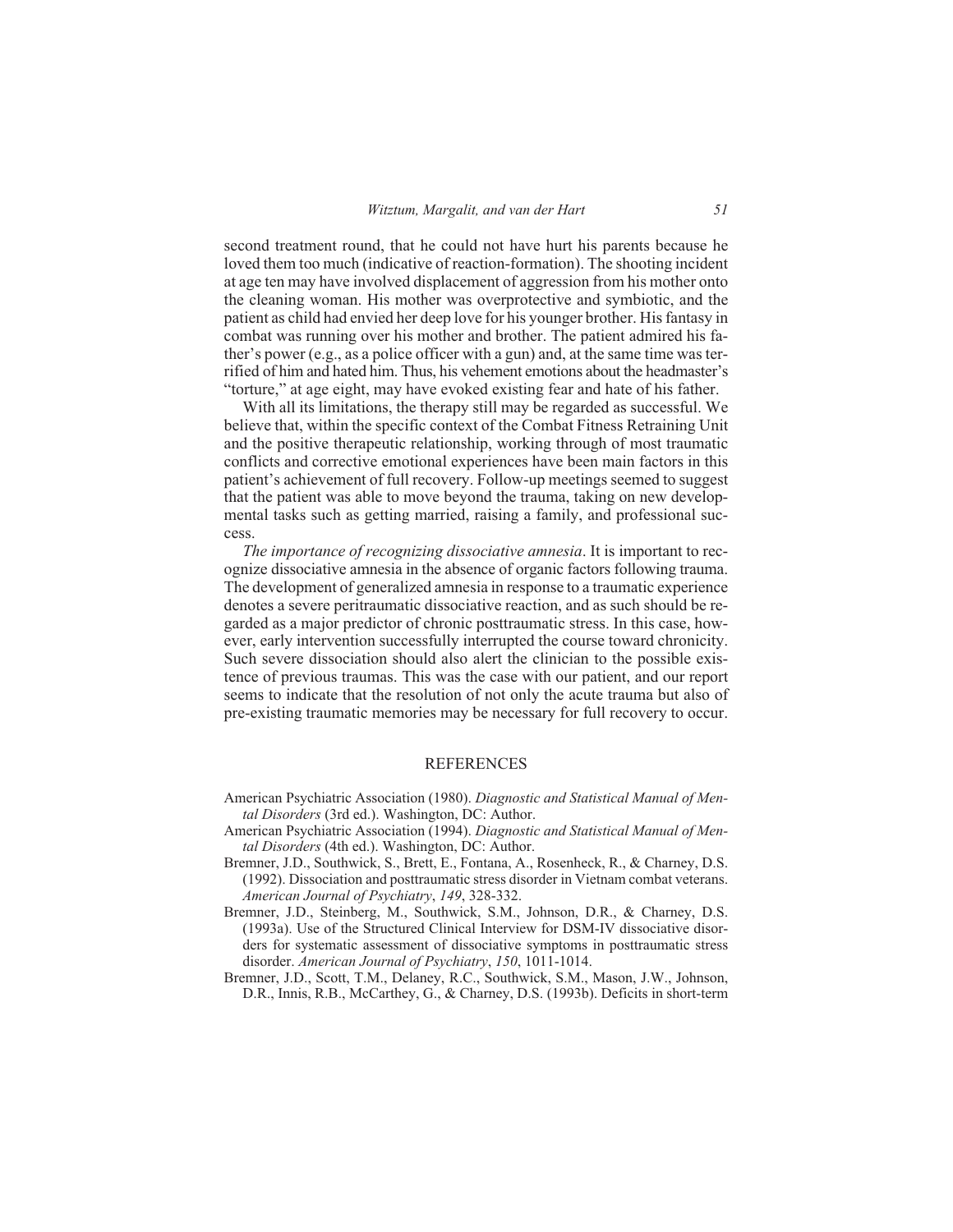second treatment round, that he could not have hurt his parents because he loved them too much (indicative of reaction-formation). The shooting incident at age ten may have involved displacement of aggression from his mother onto the cleaning woman. His mother was overprotective and symbiotic, and the patient as child had envied her deep love for his younger brother. His fantasy in combat was running over his mother and brother. The patient admired his father's power (e.g., as a police officer with a gun) and, at the same time was terrified of him and hated him. Thus, his vehement emotions about the headmaster's "torture," at age eight, may have evoked existing fear and hate of his father.

With all its limitations, the therapy still may be regarded as successful. We believe that, within the specific context of the Combat Fitness Retraining Unit and the positive therapeutic relationship, working through of most traumatic conflicts and corrective emotional experiences have been main factors in this patient's achievement of full recovery. Follow-up meetings seemed to suggest that the patient was able to move beyond the trauma, taking on new developmental tasks such as getting married, raising a family, and professional success.

*The importance of recognizing dissociative amnesia*. It is important to recognize dissociative amnesia in the absence of organic factors following trauma. The development of generalized amnesia in response to a traumatic experience denotes a severe peritraumatic dissociative reaction, and as such should be regarded as a major predictor of chronic posttraumatic stress. In this case, however, early intervention successfully interrupted the course toward chronicity. Such severe dissociation should also alert the clinician to the possible existence of previous traumas. This was the case with our patient, and our report seems to indicate that the resolution of not only the acute trauma but also of pre-existing traumatic memories may be necessary for full recovery to occur.

## REFERENCES

- American Psychiatric Association (1980). *Diagnostic and Statistical Manual of Mental Disorders* (3rd ed.). Washington, DC: Author.
- American Psychiatric Association (1994). *Diagnostic and Statistical Manual of Mental Disorders* (4th ed.). Washington, DC: Author.
- Bremner, J.D., Southwick, S., Brett, E., Fontana, A., Rosenheck, R., & Charney, D.S. (1992). Dissociation and posttraumatic stress disorder in Vietnam combat veterans. *American Journal of Psychiatry*, *149*, 328-332.
- Bremner, J.D., Steinberg, M., Southwick, S.M., Johnson, D.R., & Charney, D.S. (1993a). Use of the Structured Clinical Interview for DSM-IV dissociative disorders for systematic assessment of dissociative symptoms in posttraumatic stress disorder. *American Journal of Psychiatry*, *150*, 1011-1014.
- Bremner, J.D., Scott, T.M., Delaney, R.C., Southwick, S.M., Mason, J.W., Johnson, D.R., Innis, R.B., McCarthey, G., & Charney, D.S. (1993b). Deficits in short-term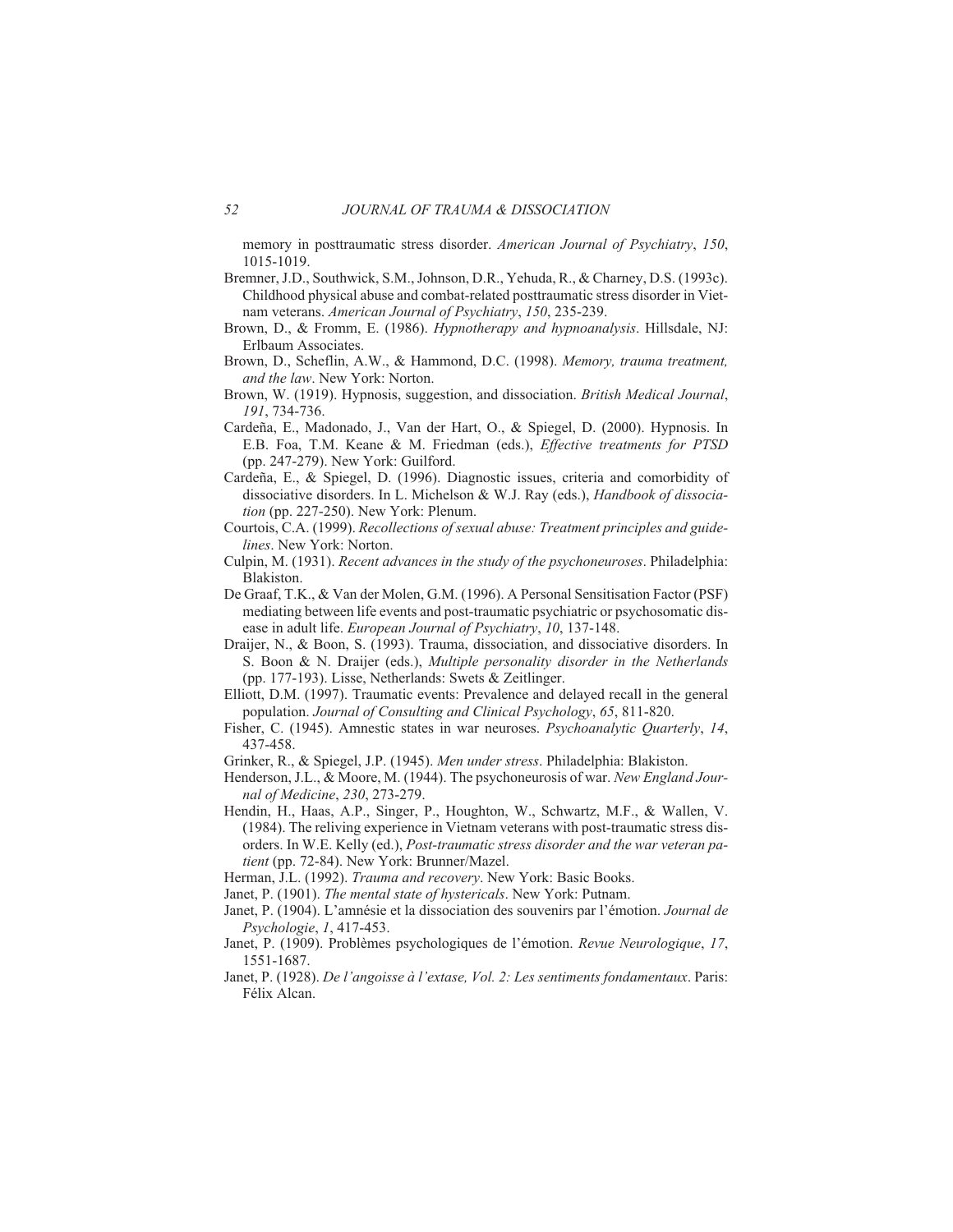memory in posttraumatic stress disorder. *American Journal of Psychiatry*, *150*, 1015-1019.

- Bremner, J.D., Southwick, S.M., Johnson, D.R., Yehuda, R., & Charney, D.S. (1993c). Childhood physical abuse and combat-related posttraumatic stress disorder in Vietnam veterans. *American Journal of Psychiatry*, *150*, 235-239.
- Brown, D., & Fromm, E. (1986). *Hypnotherapy and hypnoanalysis*. Hillsdale, NJ: Erlbaum Associates.
- Brown, D., Scheflin, A.W., & Hammond, D.C. (1998). *Memory, trauma treatment, and the law*. New York: Norton.
- Brown, W. (1919). Hypnosis, suggestion, and dissociation. *British Medical Journal*, *191*, 734-736.
- Cardeña, E., Madonado, J., Van der Hart, O., & Spiegel, D. (2000). Hypnosis. In E.B. Foa, T.M. Keane & M. Friedman (eds.), *Effective treatments for PTSD* (pp. 247-279). New York: Guilford.
- Cardeña, E., & Spiegel, D. (1996). Diagnostic issues, criteria and comorbidity of dissociative disorders. In L. Michelson & W.J. Ray (eds.), *Handbook of dissociation* (pp. 227-250). New York: Plenum.
- Courtois, C.A. (1999). *Recollections of sexual abuse: Treatment principles and guidelines*. New York: Norton.
- Culpin, M. (1931). *Recent advances in the study of the psychoneuroses*. Philadelphia: Blakiston.
- De Graaf, T.K., & Van der Molen, G.M. (1996). A Personal Sensitisation Factor (PSF) mediating between life events and post-traumatic psychiatric or psychosomatic disease in adult life. *European Journal of Psychiatry*, *10*, 137-148.
- Draijer, N., & Boon, S. (1993). Trauma, dissociation, and dissociative disorders. In S. Boon & N. Draijer (eds.), *Multiple personality disorder in the Netherlands* (pp. 177-193). Lisse, Netherlands: Swets & Zeitlinger.
- Elliott, D.M. (1997). Traumatic events: Prevalence and delayed recall in the general population. *Journal of Consulting and Clinical Psychology*, *65*, 811-820.
- Fisher, C. (1945). Amnestic states in war neuroses. *Psychoanalytic Quarterly*, *14*, 437-458.
- Grinker, R., & Spiegel, J.P. (1945). *Men under stress*. Philadelphia: Blakiston.
- Henderson, J.L., & Moore, M. (1944). The psychoneurosis of war. *New England Journal of Medicine*, *230*, 273-279.
- Hendin, H., Haas, A.P., Singer, P., Houghton, W., Schwartz, M.F., & Wallen, V. (1984). The reliving experience in Vietnam veterans with post-traumatic stress disorders. In W.E. Kelly (ed.), *Post-traumatic stress disorder and the war veteran patient* (pp. 72-84). New York: Brunner/Mazel.
- Herman, J.L. (1992). *Trauma and recovery*. New York: Basic Books.
- Janet, P. (1901). *The mental state of hystericals*. New York: Putnam.
- Janet, P. (1904). L'amnésie et la dissociation des souvenirs par l'émotion. *Journal de Psychologie*, *1*, 417-453.
- Janet, P. (1909). Problèmes psychologiques de l'émotion. *Revue Neurologique*, *17*, 1551-1687.
- Janet, P. (1928). *De l'angoisse à l'extase, Vol. 2: Les sentiments fondamentaux*. Paris: Félix Alcan.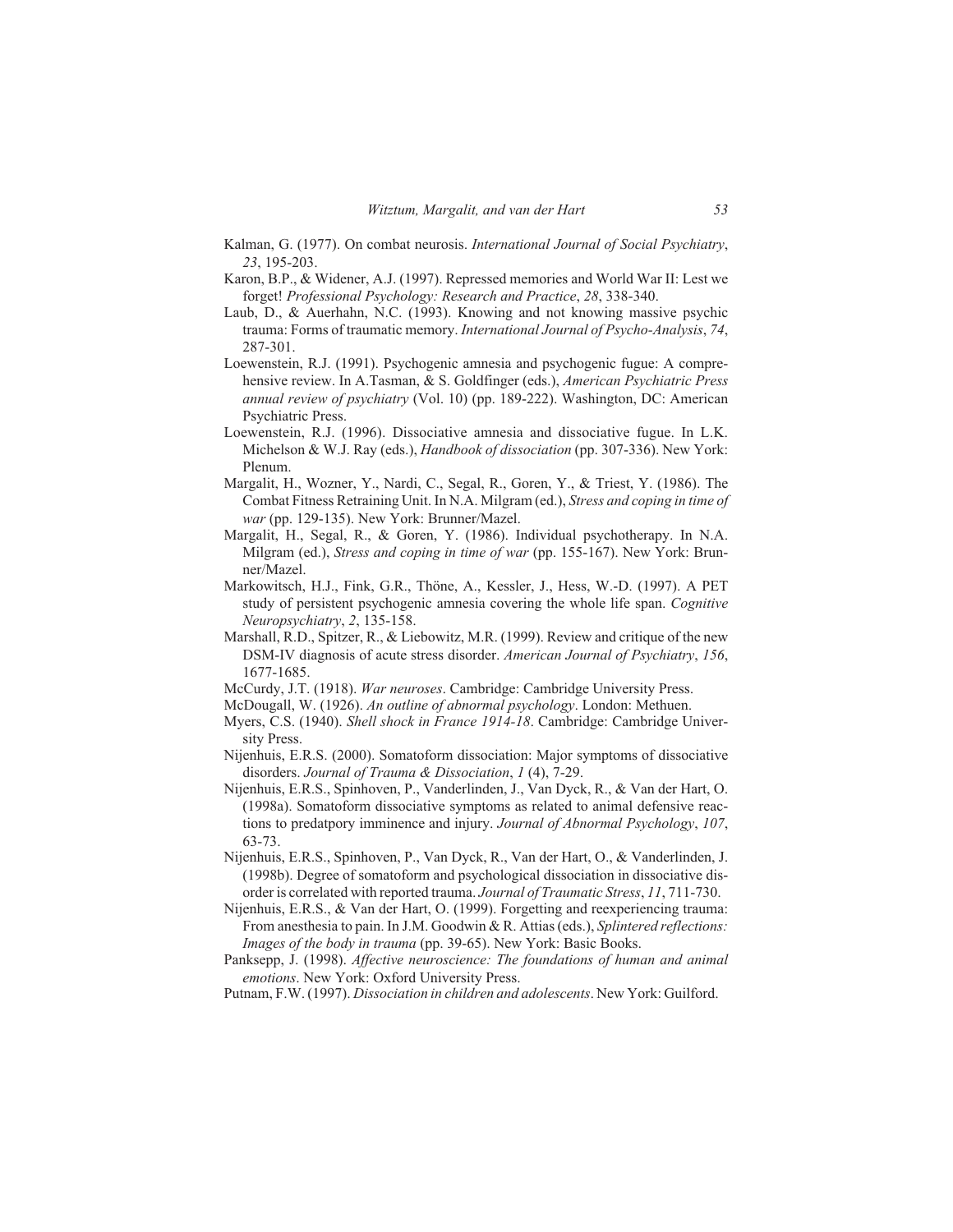- Kalman, G. (1977). On combat neurosis. *International Journal of Social Psychiatry*, *23*, 195-203.
- Karon, B.P., & Widener, A.J. (1997). Repressed memories and World War II: Lest we forget! *Professional Psychology: Research and Practice*, *28*, 338-340.
- Laub, D., & Auerhahn, N.C. (1993). Knowing and not knowing massive psychic trauma: Forms of traumatic memory. *International Journal of Psycho-Analysis*, *74*, 287-301.
- Loewenstein, R.J. (1991). Psychogenic amnesia and psychogenic fugue: A comprehensive review. In A.Tasman, & S. Goldfinger (eds.), *American Psychiatric Press annual review of psychiatry* (Vol. 10) (pp. 189-222). Washington, DC: American Psychiatric Press.
- Loewenstein, R.J. (1996). Dissociative amnesia and dissociative fugue. In L.K. Michelson & W.J. Ray (eds.), *Handbook of dissociation* (pp. 307-336). New York: Plenum.
- Margalit, H., Wozner, Y., Nardi, C., Segal, R., Goren, Y., & Triest, Y. (1986). The Combat Fitness Retraining Unit. In N.A. Milgram (ed.), *Stress and coping in time of war* (pp. 129-135). New York: Brunner/Mazel.
- Margalit, H., Segal, R., & Goren, Y. (1986). Individual psychotherapy. In N.A. Milgram (ed.), *Stress and coping in time of war* (pp. 155-167). New York: Brunner/Mazel.
- Markowitsch, H.J., Fink, G.R., Thöne, A., Kessler, J., Hess, W.-D. (1997). A PET study of persistent psychogenic amnesia covering the whole life span. *Cognitive Neuropsychiatry*, *2*, 135-158.
- Marshall, R.D., Spitzer, R., & Liebowitz, M.R. (1999). Review and critique of the new DSM-IV diagnosis of acute stress disorder. *American Journal of Psychiatry*, *156*, 1677-1685.
- McCurdy, J.T. (1918). *War neuroses*. Cambridge: Cambridge University Press.
- McDougall, W. (1926). *An outline of abnormal psychology*. London: Methuen.
- Myers, C.S. (1940). *Shell shock in France 1914-18*. Cambridge: Cambridge University Press.
- Nijenhuis, E.R.S. (2000). Somatoform dissociation: Major symptoms of dissociative disorders. *Journal of Trauma & Dissociation*, *1* (4), 7-29.
- Nijenhuis, E.R.S., Spinhoven, P., Vanderlinden, J., Van Dyck, R., & Van der Hart, O. (1998a). Somatoform dissociative symptoms as related to animal defensive reactions to predatpory imminence and injury. *Journal of Abnormal Psychology*, *107*, 63-73.
- Nijenhuis, E.R.S., Spinhoven, P., Van Dyck, R., Van der Hart, O., & Vanderlinden, J. (1998b). Degree of somatoform and psychological dissociation in dissociative disorder is correlated with reported trauma. *Journal of Traumatic Stress*, *11*, 711-730.
- Nijenhuis, E.R.S., & Van der Hart, O. (1999). Forgetting and reexperiencing trauma: From anesthesia to pain. In J.M. Goodwin & R. Attias (eds.), *Splintered reflections: Images of the body in trauma* (pp. 39-65). New York: Basic Books.
- Panksepp, J. (1998). *Affective neuroscience: The foundations of human and animal emotions*. New York: Oxford University Press.
- Putnam, F.W. (1997). *Dissociation in children and adolescents*. New York: Guilford.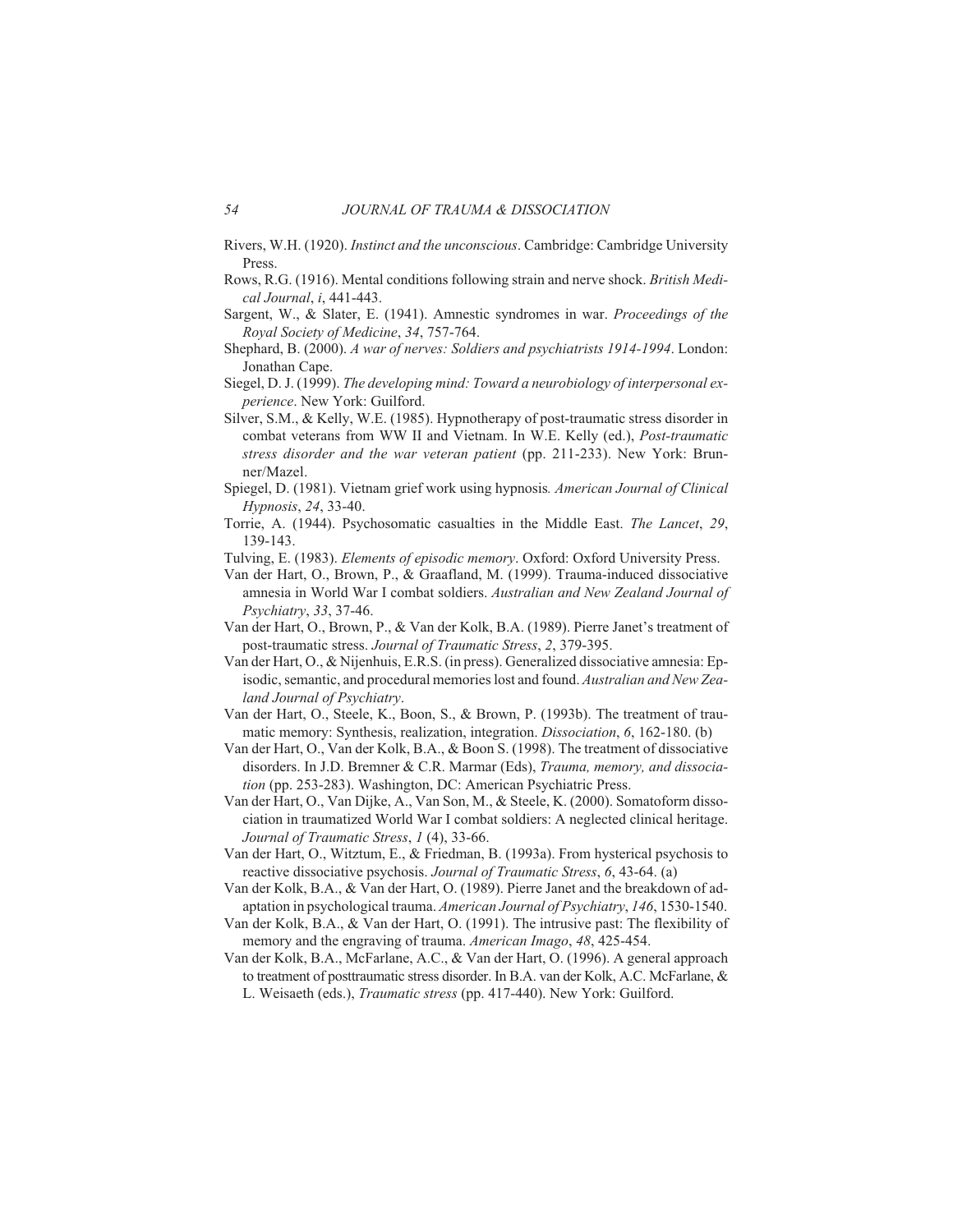- Rivers, W.H. (1920). *Instinct and the unconscious*. Cambridge: Cambridge University Press.
- Rows, R.G. (1916). Mental conditions following strain and nerve shock. *British Medical Journal*, *i*, 441-443.
- Sargent, W., & Slater, E. (1941). Amnestic syndromes in war. *Proceedings of the Royal Society of Medicine*, *34*, 757-764.
- Shephard, B. (2000). *A war of nerves: Soldiers and psychiatrists 1914-1994*. London: Jonathan Cape.
- Siegel, D. J. (1999). *The developing mind: Toward a neurobiology of interpersonal experience*. New York: Guilford.
- Silver, S.M., & Kelly, W.E. (1985). Hypnotherapy of post-traumatic stress disorder in combat veterans from WW II and Vietnam. In W.E. Kelly (ed.), *Post-traumatic stress disorder and the war veteran patient* (pp. 211-233). New York: Brunner/Mazel.
- Spiegel, D. (1981). Vietnam grief work using hypnosis*. American Journal of Clinical Hypnosis*, *24*, 33-40.
- Torrie, A. (1944). Psychosomatic casualties in the Middle East. *The Lancet*, *29*, 139-143.
- Tulving, E. (1983). *Elements of episodic memory*. Oxford: Oxford University Press.
- Van der Hart, O., Brown, P., & Graafland, M. (1999). Trauma-induced dissociative amnesia in World War I combat soldiers. *Australian and New Zealand Journal of Psychiatry*, *33*, 37-46.
- Van der Hart, O., Brown, P., & Van der Kolk, B.A. (1989). Pierre Janet's treatment of post-traumatic stress. *Journal of Traumatic Stress*, *2*, 379-395.
- Van der Hart, O., & Nijenhuis, E.R.S. (in press). Generalized dissociative amnesia: Episodic, semantic, and procedural memories lost and found. *Australian and New Zealand Journal of Psychiatry*.
- Van der Hart, O., Steele, K., Boon, S., & Brown, P. (1993b). The treatment of traumatic memory: Synthesis, realization, integration. *Dissociation*, *6*, 162-180. (b)
- Van der Hart, O., Van der Kolk, B.A., & Boon S. (1998). The treatment of dissociative disorders. In J.D. Bremner & C.R. Marmar (Eds), *Trauma, memory, and dissociation* (pp. 253-283). Washington, DC: American Psychiatric Press.
- Van der Hart, O., Van Dijke, A., Van Son, M., & Steele, K. (2000). Somatoform dissociation in traumatized World War I combat soldiers: A neglected clinical heritage. *Journal of Traumatic Stress*, *1* (4), 33-66.
- Van der Hart, O., Witztum, E., & Friedman, B. (1993a). From hysterical psychosis to reactive dissociative psychosis. *Journal of Traumatic Stress*, *6*, 43-64. (a)
- Van der Kolk, B.A., & Van der Hart, O. (1989). Pierre Janet and the breakdown of adaptation in psychological trauma. *American Journal of Psychiatry*, *146*, 1530-1540.
- Van der Kolk, B.A., & Van der Hart, O. (1991). The intrusive past: The flexibility of memory and the engraving of trauma. *American Imago*, *48*, 425-454.
- Van der Kolk, B.A., McFarlane, A.C., & Van der Hart, O. (1996). A general approach to treatment of posttraumatic stress disorder. In B.A. van der Kolk, A.C. McFarlane, & L. Weisaeth (eds.), *Traumatic stress* (pp. 417-440). New York: Guilford.